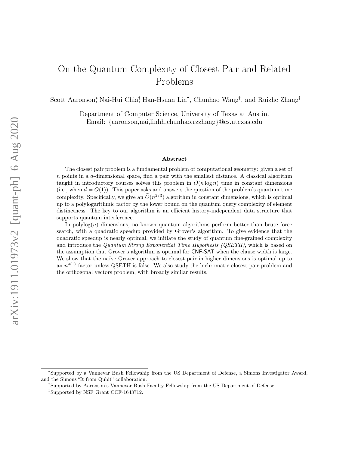# On the Quantum Complexity of Closest Pair and Related Problems

Scott Aaronson,\* Nai-Hui Chia,† Han-Hsuan Lin<sup>†</sup>, Chunhao Wang<sup>†</sup>, and Ruizhe Zhang<sup>‡</sup>

Department of Computer Science, University of Texas at Austin. Email: {aaronson,nai,linhh,chunhao,rzzhang}@cs.utexas.edu

#### Abstract

The closest pair problem is a fundamental problem of computational geometry: given a set of  $n$  points in a  $d$ -dimensional space, find a pair with the smallest distance. A classical algorithm taught in introductory courses solves this problem in  $O(n \log n)$  time in constant dimensions (i.e., when  $d = O(1)$ ). This paper asks and answers the question of the problem's quantum time complexity. Specifically, we give an  $\tilde{O}(n^{2/3})$  algorithm in constant dimensions, which is optimal up to a polylogarithmic factor by the lower bound on the quantum query complexity of element distinctness. The key to our algorithm is an efficient history-independent data structure that supports quantum interference.

In polylog $(n)$  dimensions, no known quantum algorithms perform better than brute force search, with a quadratic speedup provided by Grover's algorithm. To give evidence that the quadratic speedup is nearly optimal, we initiate the study of quantum fine-grained complexity and introduce the Quantum Strong Exponential Time Hypothesis (QSETH), which is based on the assumption that Grover's algorithm is optimal for CNF-SAT when the clause width is large. We show that the naïve Grover approach to closest pair in higher dimensions is optimal up to an  $n^{o(1)}$  factor unless QSETH is false. We also study the bichromatic closest pair problem and the orthogonal vectors problem, with broadly similar results.

<sup>∗</sup>Supported by a Vannevar Bush Fellowship from the US Department of Defense, a Simons Investigator Award, and the Simons "It from Qubit" collaboration.

<sup>†</sup>Supported by Aaronson's Vannevar Bush Faculty Fellowship from the US Department of Defense.

<sup>‡</sup>Supported by NSF Grant CCF-1648712.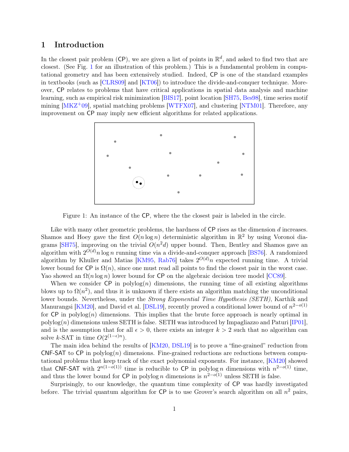# 1 Introduction

In the closest pair problem (CP), we are given a list of points in  $\mathbb{R}^d$ , and asked to find two that are closest. (See Fig. [1](#page-1-0) for an illustration of this problem.) This is a fundamental problem in computational geometry and has been extensively studied. Indeed, CP is one of the standard examples in textbooks (such as [\[CLRS09\]](#page-43-0) and [\[KT06\]](#page-44-0)) to introduce the divide-and-conquer technique. Moreover, CP relates to problems that have critical applications in spatial data analysis and machine learning, such as empirical risk minimization [\[BIS17\]](#page-42-0), point location [\[SH75,](#page-45-0) [Bes98\]](#page-42-1), time series motif mining  $[MKZ^+09]$  $[MKZ^+09]$ , spatial matching problems  $[WTFX07]$ , and clustering  $[NTM01]$ . Therefore, any improvement on CP may imply new efficient algorithms for related applications.



<span id="page-1-0"></span>Figure 1: An instance of the CP, where the the closest pair is labeled in the circle.

Like with many other geometric problems, the hardness of CP rises as the dimension d increases. Shamos and Hoey gave the first  $O(n \log n)$  deterministic algorithm in  $\mathbb{R}^2$  by using Voronoi dia-grams [\[SH75\]](#page-45-0), improving on the trivial  $O(n^2d)$  upper bound. Then, Bentley and Shamos gave an algorithm with  $2^{O(d)}n \log n$  running time via a divide-and-conquer approach [\[BS76\]](#page-43-1). A randomized algorithm by Khuller and Matias [\[KM95,](#page-44-3) [Rab76\]](#page-44-4) takes  $2^{O(d)}n$  expected running time. A trivial lower bound for  $\mathsf{CP}$  is  $\Omega(n)$ , since one must read all points to find the closest pair in the worst case. Yao showed an  $\Omega(n \log n)$  lower bound for CP on the algebraic decision tree model [\[CC89\]](#page-43-2).

When we consider CP in polylog $(n)$  dimensions, the running time of all existing algorithms blows up to  $\Omega(n^2)$ , and thus it is unknown if there exists an algorithm matching the unconditional lower bounds. Nevertheless, under the *Strong Exponential Time Hypothesis (SETH)*, Karthik and Manurangsi [\[KM20\]](#page-44-5), and David et al. [\[DSL19\]](#page-43-3), recently proved a conditional lower bound of  $n^{2-o(1)}$ for  $\mathsf{CP}$  in polylog(n) dimensions. This implies that the brute force approach is nearly optimal in  $\text{polylog}(n)$  dimensions unless SETH is false. SETH was introduced by Impagliazzo and Paturi [\[IP01\]](#page-44-6), and is the assumption that for all  $\epsilon > 0$ , there exists an integer  $k > 2$  such that no algorithm can solve k-SAT in time  $O(2^{(1-\epsilon)n})$ .

The main idea behind the results of [\[KM20,](#page-44-5) [DSL19\]](#page-43-3) is to prove a "fine-grained" reduction from CNF-SAT to CP in  $polylog(n)$  dimensions. Fine-grained reductions are reductions between computational problems that keep track of the exact polynomial exponents. For instance, [\[KM20\]](#page-44-5) showed that CNF-SAT with  $2^{n(1-o(1))}$  time is reducible to CP in polylog *n* dimensions with  $n^{2-o(1)}$  time, and thus the lower bound for  $\mathsf{CP}$  in polylog n dimensions is  $n^{2-o(1)}$  unless SETH is false.

Surprisingly, to our knowledge, the quantum time complexity of CP was hardly investigated before. The trivial quantum algorithm for  $\mathsf{CP}$  is to use Grover's search algorithm on all  $n^2$  pairs,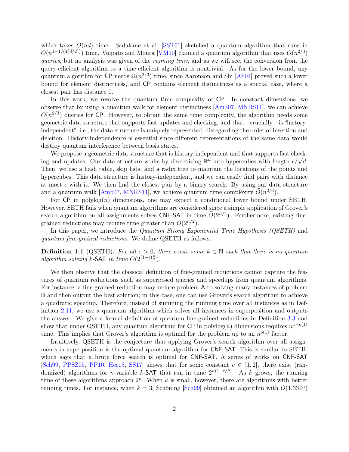which takes  $O(nd)$  time. Sadakane et al. [\[SST01\]](#page-45-2) sketched a quantum algorithm that runs in  $O(n^{1-1/(4\lceil d/2 \rceil)})$  time. Volpato and Moura [\[VM10\]](#page-45-3) claimed a quantum algorithm that uses  $O(n^{2/3})$ queries, but no analysis was given of the *running time*, and as we will see, the conversion from the query-efficient algorithm to a time-efficient algorithm is nontrivial. As for the lower bound, any quantum algorithm for CP needs  $\Omega(n^{2/3})$  time, since Aaronson and Shi [\[AS04\]](#page-42-2) proved such a lower bound for element distinctness, and CP contains element distinctness as a special case, where a closest pair has distance 0.

In this work, we resolve the quantum time complexity of CP. In constant dimensions, we observe that by using a quantum walk for element distinctness [\[Amb07,](#page-42-3) [MNRS11\]](#page-44-7), we can achieve  $O(n^{2/3})$  queries for CP. However, to obtain the same time complexity, the algorithm needs some geometric data structure that supports fast updates and checking, and that—crucially—is "historyindependent", i.e., the data structure is uniquely represented, disregarding the order of insertion and deletion. History-independence is essential since different representations of the same data would destroy quantum interference between basis states.

We propose a geometric data structure that is history-independent and that supports fast checkwe propose a geometric data structure that is mistory-independent and that supports rast check-<br>ing and updates. Our data structure works by discretizing  $\mathbb{R}^d$  into hypercubes with length  $\epsilon/\sqrt{d}$ . Then, we use a hash table, skip lists, and a radix tree to maintain the locations of the points and hypercubes. This data structure is history-independent, and we can easily find pairs with distance at most  $\epsilon$  with it. We then find the closest pair by a binary search. By using our data structure and a quantum walk [\[Amb07,](#page-42-3) [MNRS11\]](#page-44-7), we achieve quantum time complexity  $\widetilde{O}(n^{2/3})$ .

For  $\mathsf{CP}$  in polylog $(n)$  dimensions, one may expect a conditional lower bound under SETH. However, SETH fails when quantum algorithms are considered since a simple application of Grover's search algorithm on all assignments solves CNF-SAT in time  $\widetilde{O}(2^{n/2})$ . Furthermore, existing finegrained reductions may require time greater than  $O(2^{n/2})$ .

In this paper, we introduce the Quantum Strong Exponential Time Hypothesis (QSETH) and quantum fine-grained reductions. We define QSETH as follows.

**Definition 1.1** (QSETH). For all  $\epsilon > 0$ , there exists some  $k \in \mathbb{N}$  such that there is no quantum algorithm solving k-SAT in time  $O(2^{(1-\epsilon)\frac{n}{2}})$ .

We then observe that the classical definition of fine-grained reductions cannot capture the features of quantum reductions such as superposed queries and speedups from quantum algorithms. For instance, a fine-grained reduction may reduce problem A to solving many instances of problem B and then output the best solution; in this case, one can use Grover's search algorithm to achieve a quadratic speedup. Therefore, instead of summing the running time over all instances as in Definition [2.11,](#page-8-0) we use a quantum algorithm which solves all instances in superposition and outputs the answer. We give a formal definition of quantum fine-grained reductions in Definition [3.3](#page-10-0) and show that under QSETH, any quantum algorithm for  $\textsf{CP}$  in polylog $(n)$  dimensions requires  $n^{1-o(1)}$ time. This implies that Grover's algorithm is optimal for the problem up to an  $n^{o(1)}$  factor.

Intuitively, QSETH is the conjecture that applying Grover's search algorithm over all assignments in superposition is the optimal quantum algorithm for CNF-SAT. This is similar to SETH, which says that a brute force search is optimal for CNF-SAT. A series of works on CNF-SAT [\[Sch99,](#page-44-8) [PPSZ05,](#page-44-9) [PP10,](#page-44-10) [Her15,](#page-43-4) [SS17\]](#page-45-4) shows that for some constant  $c \in [1, 2]$ , there exist (randomized) algorithms for *n*-variable k-SAT that run in time  $2^{n(1-c/k)}$ . As k grows, the running time of these algorithms approach  $2^n$ . When k is small, however, there are algorithms with better running times. For instance, when  $k = 3$ , Schöning [\[Sch99\]](#page-44-8) obtained an algorithm with  $O(1.334^n)$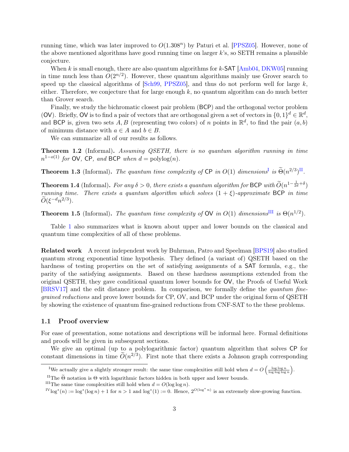running time, which was later improved to  $O(1.308<sup>n</sup>)$  by Paturi et al. [\[PPSZ05\]](#page-44-9). However, none of the above mentioned algorithms have good running time on larger  $k$ 's, so SETH remains a plausible conjecture.

When  $k$  is small enough, there are also quantum algorithms for  $k$ -SAT [\[Amb04,](#page-42-4) [DKW05\]](#page-43-5) running in time much less than  $O(2^{n/2})$ . However, these quantum algorithms mainly use Grover search to speed up the classical algorithms of  $[Sch99, PPSZ05]$  $[Sch99, PPSZ05]$  $[Sch99, PPSZ05]$ , and thus do not perform well for large k, either. Therefore, we conjecture that for large enough  $k$ , no quantum algorithm can do much better than Grover search.

Finally, we study the bichromatic closest pair problem (BCP) and the orthogonal vector problem (OV). Briefly, OV is to find a pair of vectors that are orthogonal given a set of vectors in  $\{0,1\}^d \in \mathbb{R}^d$ , and BCP is, given two sets A, B (representing two colors) of n points in  $\mathbb{R}^d$ , to find the pair  $(a, b)$ of minimum distance with  $a \in A$  and  $b \in B$ .

We can summarize all of our results as follows.

Theorem 1.2 (Informal). Assuming QSETH, there is no quantum algorithm running in time  $n^{1-o(1)}$  for OV, CP, and BCP when  $d = \text{polylog}(n)$ .

**Theorem 1.3** ([I](#page-3-0)nformal). The quantum time complexity of CP in  $O(1)$  dimensions<sup>I</sup> is  $\widetilde{\Theta}(n^{2/3})^{\text{II}}$  $\widetilde{\Theta}(n^{2/3})^{\text{II}}$  $\widetilde{\Theta}(n^{2/3})^{\text{II}}$ .

**Theorem 1.4** (Informal). For any  $\delta > 0$ , there exists a quantum algorithm for BCP with  $\widetilde{O}(n^{1-\frac{1}{2d}+\delta})$ running time. There exists a quantum algorithm which solves  $(1 + \xi)$ -approximate BCP in time  $\widetilde{O}(\xi^{-d}n^{2/3}).$ 

**Theorem 1.5** (Informal). The quantum time complexity of  $\mathsf{OV}$  in  $O(1)$  dimensions<sup>[III](#page-3-2)</sup> is  $\Theta(n^{1/2})$ .

Table [1](#page-4-0) also summarizes what is known about upper and lower bounds on the classical and quantum time complexities of all of these problems.

Related work A recent independent work by Buhrman, Patro and Speelman [\[BPS19\]](#page-43-6) also studied quantum strong exponential time hypothesis. They defined (a variant of) QSETH based on the hardness of testing properties on the set of satisfying assignments of a **SAT** formula, e.g., the parity of the satisfying assignments. Based on these hardness assumptions extended from the original QSETH, they gave conditional quantum lower bounds for OV, the Proofs of Useful Work [\[BRSV17\]](#page-43-7) and the edit distance problem. In comparison, we formally define the quantum finegrained reductions and prove lower bounds for CP, OV, and BCP under the original form of QSETH by showing the existence of quantum fine-grained reductions from CNF-SAT to the these problems.

### 1.1 Proof overview

For ease of presentation, some notations and descriptions will be informal here. Formal definitions and proofs will be given in subsequent sections.

We give an optimal (up to a polylogarithmic factor) quantum algorithm that solves CP for constant dimensions in time  $\tilde{O}(n^{2/3})$ . First note that there exists a Johnson graph corresponding

<span id="page-3-0"></span><sup>&</sup>lt;sup>I</sup>We actually give a slightly stronger result: the same time complexities still hold when  $d = O\left(\frac{\log \log n}{\log \log \log n}\right)$ .

<span id="page-3-1"></span><sup>&</sup>lt;sup>II</sup>The  $\tilde{\Theta}$  notation is  $\Theta$  with logarithmic factors hidden in both upper and lower bounds.

<span id="page-3-2"></span><sup>&</sup>lt;sup>III</sup>The same time complexities still hold when  $d = O(\log \log n)$ .

<span id="page-3-3"></span> $I^{\{V\}}\log^*(n) := \log^*(\log n) + 1$  for  $n > 1$  and  $\log^*(1) := 0$ . Hence,  $2^{O(\log^* n)}$  is an extremely slow-growing function.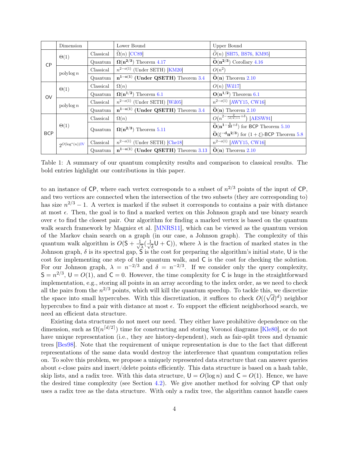|            | Dimension           |           | Lower Bound                                                             | Upper Bound                                                                                               |
|------------|---------------------|-----------|-------------------------------------------------------------------------|-----------------------------------------------------------------------------------------------------------|
| <b>CP</b>  | $\Theta(1)$         | Classical | $\tilde{\Omega}(n)$ [CC89]                                              | $\widetilde{O}(n)$ [SH75, BS76, KM95]                                                                     |
|            |                     | Quantum   | $\Omega(n^{2/3})$ Theorem 4.17                                          | $\widetilde{O}(n^{2/3})$ Corollary 4.16                                                                   |
|            | $\text{polylog } n$ | Classical | $n^{2-o(1)}$ (Under SETH) [KM20]                                        | $O(n^2)$                                                                                                  |
|            |                     | Quantum   | $n^{1-o(1)}$ (Under QSETH) Theorem 3.4                                  | $\tilde{O}(n)$ Theorem 2.10                                                                               |
| <b>OV</b>  | $\Theta(1)$         | Classical | $\Omega(n)$                                                             | $O(n)$ [Wil17]                                                                                            |
|            |                     | Quantum   | $\Omega(n^{1/2})$ Theorem 6.1                                           | $\mathbf{O(n^{1/2})}$ Theorem 6.1                                                                         |
|            | $\text{polylog } n$ | Classical | $n^{2-o(1)}$ (Under SETH) [Wil05]                                       | $n^{2-o(1)}$ [AWY15, CW16]                                                                                |
|            |                     | Quantum   | $n^{1-o(1)}$ (Under QSETH) Theorem 3.4                                  | $\widetilde{\mathbf{O}}(\mathbf{n})$ Theorem 2.10                                                         |
| <b>BCP</b> | $\Theta(1)$         | Classical | $\Omega(n)$                                                             | $O(n^{2-\frac{2}{\lceil d/2 \rceil+1}+\delta})$ [AESW91]                                                  |
|            |                     | Quantum   | $\Omega(n^{2/3})$ Theorem 5.11                                          | $\widetilde{\mathbf{O}}(\mathbf{n}^{1-\frac{1}{2d}+\delta})$ for BCP Theorem 5.10                         |
|            |                     |           |                                                                         | $\widetilde{\mathbf{O}}(\xi^{-\mathbf{d}}\mathbf{n^{2/3}})$ for $(1+\xi)\text{-}\mathsf{BCP}$ Theorem 5.8 |
|            | $2O(\log^*(n))$ IV  | Classical | $n^{2-o(1)}$ (Under SETH) [Che18]                                       | $n^{2-o(1)}$ [AWY15, CW16]                                                                                |
|            |                     | Quantum   | $n^{1-o(1)}$ (Under QSETH) Theorem 3.13 $\widetilde{O}(n)$ Theorem 2.10 |                                                                                                           |

<span id="page-4-0"></span>Table 1: A summary of our quantum complexity results and comparison to classical results. The bold entries highlight our contributions in this paper.

to an instance of CP, where each vertex corresponds to a subset of  $n^{2/3}$  points of the input of CP, and two vertices are connected when the intersection of the two subsets (they are corresponding to) has size  $n^{2/3} - 1$ . A vertex is marked if the subset it corresponds to contains a pair with distance at most  $\epsilon$ . Then, the goal is to find a marked vertex on this Johnson graph and use binary search over  $\epsilon$  to find the closest pair. Our algorithm for finding a marked vertex is based on the quantum walk search framework by Magniez et al. [\[MNRS11\]](#page-44-7), which can be viewed as the quantum version of the Markov chain search on a graph (in our case, a Johnson graph). The complexity of this quantum walk algorithm is  $O(5 + \frac{1}{\sqrt{2}})$  $\frac{1}{\overline{\lambda}}(\frac{1}{\sqrt{\lambda}})$  $(\overline{\overline{\delta}}\mathsf{U}+\mathsf{C})$ , where  $\lambda$  is the fraction of marked states in the Johnson graph,  $\delta$  is its spectral gap,  $\mathsf S$  is the cost for preparing the algorithm's initial state, U is the cost for implementing one step of the quantum walk, and C is the cost for checking the solution. For our Johnson graph,  $\lambda = n^{-2/3}$  and  $\delta = n^{-2/3}$ . If we consider only the query complexity,  $S = n^{2/3}$ ,  $U = O(1)$ , and  $C = 0$ . However, the time complexity for C is huge in the straightforward implementation, e.g., storing all points in an array according to the index order, as we need to check all the pairs from the  $n^{2/3}$  points, which will kill the quantum speedup. To tackle this, we discretize all the pairs from the  $n^{-/2}$  points, which will kill the quantum speedup. To tackle this, we discretize<br>the space into small hypercubes. With this discretization, it suffices to check  $O((\sqrt{d})^d)$  neighbor hypercubes to find a pair with distance at most  $\epsilon$ . To support the efficient neighborhood search, we need an efficient data structure.

Existing data structures do not meet our need. They either have prohibitive dependence on the dimension, such as  $\Omega(n^{\lceil d/2 \rceil})$  time for constructing and storing Voronoi diagrams [\[Kle80\]](#page-44-11), or do not have unique representation (i.e., they are history-dependent), such as fair-split trees and dynamic trees [\[Bes98\]](#page-42-1). Note that the requirement of unique representation is due to the fact that different representations of the same data would destroy the interference that quantum computation relies on. To solve this problem, we propose a uniquely represented data structure that can answer queries about  $\epsilon$ -close pairs and insert/delete points efficiently. This data structure is based on a hash table, skip lists, and a radix tree. With this data structure,  $U = O(\log n)$  and  $C = O(1)$ . Hence, we have the desired time complexity (see Section [4.2\)](#page-23-0). We give another method for solving CP that only uses a radix tree as the data structure. With only a radix tree, the algorithm cannot handle cases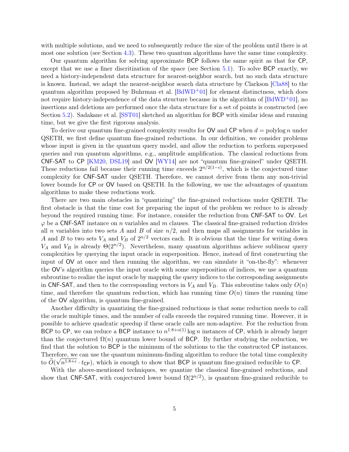with multiple solutions, and we need to subsequently reduce the size of the problem until there is at most one solution (see Section [4.3\)](#page-31-0). These two quantum algorithms have the same time complexity.

Our quantum algorithm for solving approximate BCP follows the same spirit as that for CP, except that we use a finer discritization of the space (see Section [5.1\)](#page-35-0). To solve BCP exactly, we need a history-independent data structure for nearest-neighbor search, but no such data structure is known. Instead, we adapt the nearest-neighbor search data structure by Clarkson [\[Cla88\]](#page-43-10) to the quantum algorithm proposed by Buhrman et al.  $[\text{BdWD}^+01]$  for element distinctness, which does not require history-independence of the data structure because in the algorithm of [\[BdWD](#page-42-7)+01], no insertions and deletions are performed once the data structure for a set of points is constructed (see Section [5.2\)](#page-40-1). Sadakane et al. [\[SST01\]](#page-45-2) sketched an algorithm for BCP with similar ideas and running time, but we give the first rigorous analysis.

To derive our quantum fine-grained complexity results for  $\mathsf{OV}$  and  $\mathsf{CP}$  when  $d = \text{polylog } n$  under QSETH, we first define quantum fine-grained reductions. In our definition, we consider problems whose input is given in the quantum query model, and allow the reduction to perform superposed queries and run quantum algorithms, e.g., amplitude amplification. The classical reductions from CNF-SAT to CP [\[KM20,](#page-44-5) [DSL19\]](#page-43-3) and OV [\[WY14\]](#page-45-7) are not "quantum fine-grained" under QSETH. These reductions fail because their running time exceeds  $2^{n/2(1-\epsilon)}$ , which is the conjectured time complexity for CNF-SAT under QSETH. Therefore, we cannot derive from them any non-trivial lower bounds for CP or OV based on QSETH. In the following, we use the advantages of quantum algorithms to make these reductions work.

There are two main obstacles in "quantizing" the fine-grained reductions under QSETH. The first obstacle is that the time cost for preparing the input of the problem we reduce to is already beyond the required running time. For instance, consider the reduction from CNF-SAT to OV. Let  $\varphi$  be a CNF-SAT instance on n variables and m clauses. The classical fine-grained reduction divides all n variables into two sets A and B of size  $n/2$ , and then maps all assignments for variables in A and B to two sets  $V_A$  and  $V_B$  of  $2^{n/2}$  vectors each. It is obvious that the time for writing down V<sub>A</sub> and V<sub>B</sub> is already  $\Theta(2^{n/2})$ . Nevertheless, many quantum algorithms achieve sublinear query complexities by querying the input oracle in superposition. Hence, instead of first constructing the input of OV at once and then running the algorithm, we can simulate it "on-the-fly": whenever the OV's algorithm queries the input oracle with some superposition of indices, we use a quantum subroutine to realize the input oracle by mapping the query indices to the corresponding assignments in CNF-SAT, and then to the corresponding vectors in  $V_A$  and  $V_B$ . This subroutine takes only  $O(n)$ time, and therefore the quantum reduction, which has running time  $O(n)$  times the running time of the OV algorithm, is quantum fine-grained.

Another difficulty in quantizing the fine-grained reductions is that some reduction needs to call the oracle multiple times, and the number of calls exceeds the required running time. However, it is possible to achieve quadratic speedup if these oracle calls are non-adaptive. For the reduction from BCP to CP, we can reduce a BCP instance to  $n^{1.8+o(1)}\log n$  instances of CP, which is already larger than the conjectured  $\Omega(n)$  quantum lower bound of BCP. By further studying the reduction, we find that the solution to BCP is the minimum of the solutions to the the constructed CP instances. Therefore, we can use the quantum minimum-finding algorithm to reduce the total time complexity to  $O(\sqrt{n^{1.8+\epsilon}} \cdot t_{\text{CP}})$ , which is enough to show that BCP is quantum fine-grained reducible to CP.

With the above-mentioned techniques, we quantize the classical fine-grained reductions, and show that CNF-SAT, with conjectured lower bound  $\Omega(2^{n/2})$ , is quantum fine-grained reducible to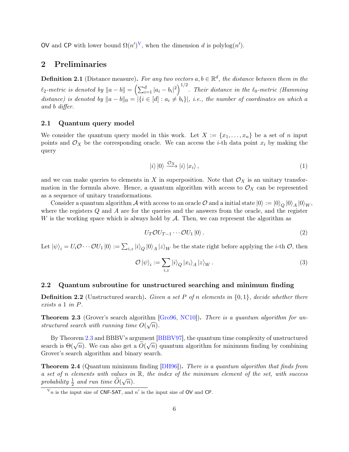O[V](#page-6-0) and CP with lower bound  $\Omega(n^{\prime})^{\mathbf{V}}$ , when the dimension d is polylog $(n^{\prime})$ .

## 2 Preliminaries

**Definition 2.1** (Distance measure). For any two vectors  $a, b \in \mathbb{R}^d$ , the distance between them in the  $\ell_2$ -metric is denoted by  $\|a-b\|=\left(\sum_{i=1}^d |a_i-b_i|^2\right)^{1/2}$ . Their distance in the  $\ell_0$ -metric (Hamming distance) is denoted by  $||a - b||_0 = |\{i \in [d] : a_i \neq b_i\}|$ , i.e., the number of coordinates on which a and b differ.

### 2.1 Quantum query model

We consider the quantum query model in this work. Let  $X := \{x_1, \ldots, x_n\}$  be a set of n input points and  $\mathcal{O}_X$  be the corresponding oracle. We can access the *i*-th data point  $x_i$  by making the query

$$
|i\rangle|0\rangle \xrightarrow{\mathcal{O}_X} |i\rangle|x_i\rangle\,,\tag{1}
$$

and we can make queries to elements in X in superposition. Note that  $\mathcal{O}_X$  is an unitary transformation in the formula above. Hence, a quantum algorithm with access to  $\mathcal{O}_X$  can be represented as a sequence of unitary transformations.

Consider a quantum algorithm  ${\cal A}$  with access to an oracle  ${\cal O}$  and a initial state  $\ket{0}:=\ket{0}_Q\ket{0}_A\ket{0}_W,$ where the registers  $Q$  and  $\tilde{A}$  are for the queries and the answers from the oracle, and the register W is the working space which is always hold by  $A$ . Then, we can represent the algorithm as

$$
U_T \mathcal{O} U_{T-1} \cdots \mathcal{O} U_1 |0\rangle. \tag{2}
$$

Let  $|\psi\rangle_i = U_i \mathcal{O} \cdots \mathcal{O} U_1 |0\rangle := \sum_{i,z} |i\rangle_Q |0\rangle_A |z\rangle_W$  be the state right before applying the *i*-th  $\mathcal{O}$ , then

$$
\mathcal{O} \left| \psi \right\rangle_i := \sum_{i,z} \left| i \right\rangle_Q \left| x_i \right\rangle_A \left| z \right\rangle_W.
$$
\n(3)

#### 2.2 Quantum subroutine for unstructured searching and minimum finding

**Definition 2.2** (Unstructured search). Given a set P of n elements in  $\{0,1\}$ , decide whether there exists a 1 in P.

<span id="page-6-1"></span>**Theorem 2.3** (Grover's search algorithm [\[Gro96,](#page-43-11) [NC10\]](#page-44-12)). There is a quantum algorithm for unstructured search with running time  $O(\sqrt{n})$ .

By Theorem [2.3](#page-6-1) and BBBV's argument [\[BBBV97\]](#page-42-8), the quantum time complexity of unstructured By Theorem 2.5 and BBBV s argument [BBBV 97], the quantum time complexity of unstructured<br>search is  $\Theta(\sqrt{n})$ . We can also get a  $\widetilde{O}(\sqrt{n})$  quantum algorithm for minimum finding by combining Grover's search algorithm and binary search.

<span id="page-6-2"></span>Theorem 2.4 (Quantum minimum finding [\[DH96\]](#page-43-12)). There is a quantum algorithm that finds from a set of n elements with values in  $\mathbb{R}$ , the index of the minimum element of the set, with success probability  $\frac{1}{2}$  and run time  $\widetilde{O}(\sqrt{n})$ .

<span id="page-6-0"></span> $V_n$  is the input size of CNF-SAT, and n' is the input size of OV and CP.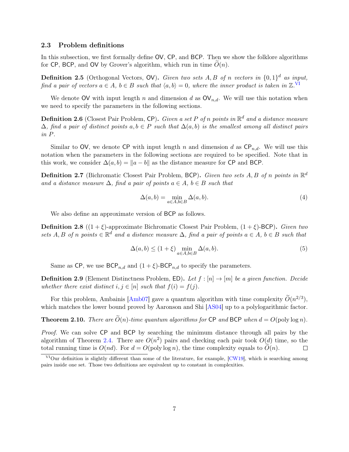### 2.3 Problem definitions

In this subsection, we first formally define OV, CP, and BCP. Then we show the folklore algorithms for CP, BCP, and OV by Grover's algorithm, which run in time  $O(n)$ .

<span id="page-7-2"></span>**Definition 2.5** (Orthogonal Vectors, OV). Given two sets A, B of n vectors in  $\{0,1\}^d$  as input, find a pair of vectors  $a \in A$ ,  $b \in B$  such that  $\langle a, b \rangle = 0$ , where the inner product is taken in  $\mathbb{Z}$ .  $\overline{S}$ 

We denote OV with input length n and dimension d as  $\mathsf{OV}_{n,d}$ . We will use this notation when we need to specify the parameters in the following sections.

**Definition 2.6** (Closest Pair Problem, CP). Given a set P of n points in  $\mathbb{R}^d$  and a distance measure  $\Delta$ , find a pair of distinct points  $a, b \in P$  such that  $\Delta(a, b)$  is the smallest among all distinct pairs in P.

Similar to OV, we denote CP with input length n and dimension d as  $\mathsf{CP}_{n,d}$ . We will use this notation when the parameters in the following sections are required to be specified. Note that in this work, we consider  $\Delta(a, b) = ||a - b||$  as the distance measure for CP and BCP.

**Definition 2.7** (Bichromatic Closest Pair Problem, BCP). Given two sets A, B of n points in  $\mathbb{R}^d$ and a distance measure  $\Delta$ , find a pair of points  $a \in A$ ,  $b \in B$  such that

$$
\Delta(a,b) = \min_{a \in A, b \in B} \Delta(a,b). \tag{4}
$$

We also define an approximate version of BCP as follows.

**Definition 2.8** ( $(1 + \xi)$ -approximate Bichromatic Closest Pair Problem,  $(1 + \xi)$ -BCP). Given two sets A, B of n points  $\in \mathbb{R}^d$  and a distance measure  $\Delta$ , find a pair of points  $a \in A$ ,  $b \in B$  such that

$$
\Delta(a, b) \le (1 + \xi) \min_{a \in A, b \in B} \Delta(a, b).
$$
\n(5)

Same as CP, we use  $BCP_{n,d}$  and  $(1+\xi)$ -BCP<sub>n,d</sub> to specify the parameters.

**Definition 2.9** (Element Distinctness Problem, ED). Let  $f : [n] \rightarrow [m]$  be a given function. Decide whether there exist distinct  $i, j \in [n]$  such that  $f(i) = f(j)$ .

For this problem, Ambainis [\[Amb07\]](#page-42-3) gave a quantum algorithm with time complexity  $\tilde{O}(n^{2/3})$ , which matches the lower bound proved by Aaronson and Shi [\[AS04\]](#page-42-2) up to a polylogarithmic factor.

<span id="page-7-0"></span>**Theorem 2.10.** There are  $\widetilde{O}(n)$ -time quantum algorithms for CP and BCP when  $d = O(\text{poly}\log n)$ .

Proof. We can solve CP and BCP by searching the minimum distance through all pairs by the algorithm of Theorem [2.4.](#page-6-2) There are  $O(n^2)$  pairs and checking each pair took  $O(d)$  time, so the total running time is  $O(nd)$ . For  $d = O(\text{poly}\log n)$ , the time complexity equals to  $O(n)$ .  $\Box$ 

<span id="page-7-1"></span><sup>&</sup>lt;sup>VI</sup>Our definition is slightly different than some of the literature, for example,  $\lbrack \text{CW19} \rbrack$ , which is searching among pairs inside one set. Those two definitions are equivalent up to constant in complexities.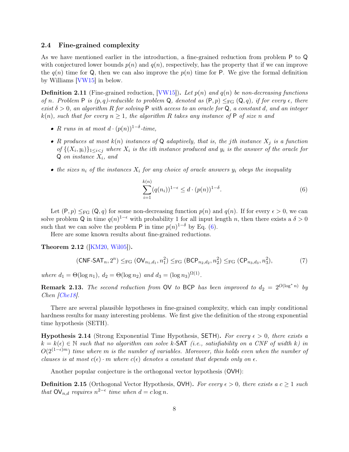### 2.4 Fine-grained complexity

As we have mentioned earlier in the introduction, a fine-grained reduction from problem P to Q with conjectured lower bounds  $p(n)$  and  $q(n)$ , respectively, has the property that if we can improve the  $q(n)$  time for Q, then we can also improve the  $p(n)$  time for P. We give the formal definition by Williams [\[VW15\]](#page-45-8) in below.

<span id="page-8-0"></span>**Definition 2.11** (Fine-grained reduction,  $|VW15|$ ). Let  $p(n)$  and  $q(n)$  be non-decreasing functions of n. Problem P is  $(p, q)$ -reducible to problem Q, denoted as  $(P, p) \leq_{FG} (Q, q)$ , if for every  $\epsilon$ , there exist  $\delta > 0$ , an algorithm R for solving P with access to an oracle for Q, a constant d, and an integer  $k(n)$ , such that for every  $n \geq 1$ , the algorithm R takes any instance of P of size n and

- R runs in at most  $d \cdot (p(n))^{1-\delta}$ -time,
- R produces at most  $k(n)$  instances of Q adaptively, that is, the jth instance  $X_i$  is a function of  $\{(X_i, y_i)\}_{1 \leq i < j}$  where  $X_i$  is the ith instance produced and  $y_i$  is the answer of the oracle for  $Q$  on instance  $X_i$ , and
- the sizes  $n_i$  of the instances  $X_i$  for any choice of oracle answers  $y_i$  obeys the inequality

<span id="page-8-1"></span>
$$
\sum_{i=1}^{k(n)} (q(n_i))^{1-\epsilon} \le d \cdot (p(n))^{1-\delta}.
$$
 (6)

Let  $(P, p) \leq_{FG} (Q, q)$  for some non-decreasing function  $p(n)$  and  $q(n)$ . If for every  $\epsilon > 0$ , we can solve problem Q in time  $q(n)^{1-\epsilon}$  with probability 1 for all input length n, then there exists a  $\delta > 0$ such that we can solve the problem P in time  $p(n)^{1-\delta}$  by Eq. [\(6\)](#page-8-1).

Here are some known results about fine-grained reductions.

<span id="page-8-2"></span>Theorem 2.12 ([\[KM20,](#page-44-5) [Wil05\]](#page-45-6)).

$$
(CNF-SAT_n, 2^n) \leq_{FG} (OV_{n_1,d_1}, n_1^2) \leq_{FG} (BCP_{n_2,d_2}, n_2^2) \leq_{FG} (CP_{n_3,d_3}, n_3^2),
$$
 (7)

where  $d_1 = \Theta(\log n_1)$ ,  $d_2 = \Theta(\log n_2)$  and  $d_3 = (\log n_3)^{\Omega(1)}$ .

**Remark 2.13.** The second reduction from OV to BCP has been improved to  $d_2 = 2^{O(\log^* n)}$  by Chen [\[Che18\]](#page-43-9).

There are several plausible hypotheses in fine-grained complexity, which can imply conditional hardness results for many interesting problems. We first give the definition of the strong exponential time hypothesis (SETH).

**Hypothesis 2.14** (Strong Exponential Time Hypothesis, SETH). For every  $\epsilon > 0$ , there exists a  $k = k(\epsilon) \in \mathbb{N}$  such that no algorithm can solve k-SAT (i.e., satisfiability on a CNF of width k) in  $O(2^{(1-\epsilon)m})$  time where m is the number of variables. Moreover, this holds even when the number of clauses is at most  $c(\epsilon) \cdot m$  where  $c(\epsilon)$  denotes a constant that depends only on  $\epsilon$ .

Another popular conjecture is the orthogonal vector hypothesis (OVH):

**Definition 2.15** (Orthogonal Vector Hypothesis, OVH). For every  $\epsilon > 0$ , there exists a  $c > 1$  such that  $\mathsf{OV}_{n,d}$  requires  $n^{2-\epsilon}$  time when  $d = c \log n$ .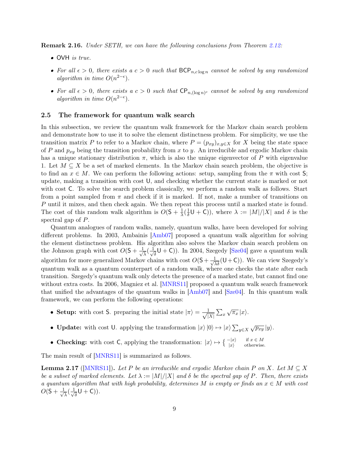Remark 2.16. Under SETH, we can have the following conclusions from Theorem [2.12:](#page-8-2)

- OVH is true.
- For all  $\epsilon > 0$ , there exists a  $c > 0$  such that  $BCP_{n,c \log n}$  cannot be solved by any randomized algorithm in time  $O(n^{2-\epsilon})$ .
- For all  $\epsilon > 0$ , there exists a  $c > 0$  such that  $\mathsf{CP}_{n,(\log n)^c}$  cannot be solved by any randomized algorithm in time  $O(n^{2-\epsilon})$ .

#### <span id="page-9-0"></span>2.5 The framework for quantum walk search

In this subsection, we review the quantum walk framework for the Markov chain search problem and demonstrate how to use it to solve the element distinctness problem. For simplicity, we use the transition matrix P to refer to a Markov chain, where  $P = (p_{xy})_{x,y \in X}$  for X being the state space of P and  $p_{xy}$  being the transition probability from x to y. An irreducible and ergodic Markov chain has a unique stationary distribution  $\pi$ , which is also the unique eigenvector of P with eigenvalue 1. Let  $M \subseteq X$  be a set of marked elements. In the Markov chain search problem, the objective is to find an  $x \in M$ . We can perform the following actions: setup, sampling from the  $\pi$  with cost S; update, making a transition with cost U, and checking whether the current state is marked or not with cost C. To solve the search problem classically, we perform a random walk as follows. Start from a point sampled from  $\pi$  and check if it is marked. If not, make a number of transitions on P until it mixes, and then check again. We then repeat this process until a marked state is found. The cost of this random walk algorithm is  $O(5 + \frac{1}{\lambda})$  $\frac{1}{\lambda}$  ( $\frac{1}{\delta}$  $\frac{1}{\delta}$ U + C)), where  $\lambda := |M|/|X|$  and  $\delta$  is the spectral gap of P.

Quantum analogues of random walks, namely, quantum walks, have been developed for solving different problems. In 2003, Ambainis [\[Amb07\]](#page-42-3) proposed a quantum walk algorithm for solving the element distinctness problem. His algorithm also solves the Markov chain search problem on the Johnson graph with cost  $O(5 + \frac{1}{\sqrt{2}})$  $\frac{1}{\lambda}(\frac{1}{\sqrt{2}})$  $(\overline{\overline{\delta}}\mathsf{U}+\mathsf{C})$ ). In 2004, Szegedy [\[Sze04\]](#page-45-9) gave a quantum walk algorithm for more generalized Markov chains with cost  $O(S + \frac{1}{\sqrt{\lambda \delta}}(U + C))$ . We can view Szegedy's quantum walk as a quantum counterpart of a random walk, where one checks the state after each transition. Szegedy's quantum walk only detects the presence of a marked state, but cannot find one without extra costs. In 2006, Magniez et al. [\[MNRS11\]](#page-44-7) proposed a quantum walk search framework that unified the advantages of the quantum walks in [\[Amb07\]](#page-42-3) and [\[Sze04\]](#page-45-9). In this quantum walk framework, we can perform the following operations:

- Setup: with cost S. preparing the initial state  $|\pi\rangle = \frac{1}{\sqrt{n}}$  $\frac{1}{|X|} \sum_x$  $\sqrt{\pi_x} |x\rangle$ .
- **Update:** with cost U. applying the transformation  $|x\rangle|0\rangle \mapsto |x\rangle \sum_{y \in X} \sqrt{p_{xy}}|y\rangle$ .
- Checking: with cost C, applying the transformation:  $|x\rangle \mapsto \begin{cases} -|x\rangle & \text{if } x \in M \\ |x\rangle & \text{otherwise.} \end{cases}$

The main result of [\[MNRS11\]](#page-44-7) is summarized as follows.

<span id="page-9-1"></span>**Lemma 2.17** ([\[MNRS11\]](#page-44-7)). Let P be an irreducible and ergodic Markov chain P on X. Let  $M \subseteq X$ be a subset of marked elements. Let  $\lambda := |M|/|X|$  and  $\delta$  be the spectral gap of P. Then, there exists a quantum algorithm that with high probability, determines M is empty or finds an  $x \in M$  with cost  $O(5 + \frac{1}{4})$  $\frac{1}{\lambda}$ ( $\frac{1}{\sqrt{2}}$  $\frac{1}{\delta}$ U + C)).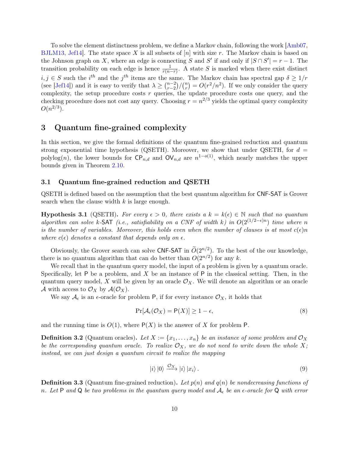To solve the element distinctness problem, we define a Markov chain, following the work [\[Amb07,](#page-42-3) [BJLM13,](#page-42-9) Jef14. The state space X is all subsets of  $[n]$  with size r. The Markov chain is based on the Johnson graph on X, where an edge is connecting S and S' if and only if  $|S \cap S'| = r - 1$ . The transition probability on each edge is hence  $\frac{1}{r(n-r)}$ . A state S is marked when there exist distinct  $i, j \in S$  such the  $i^{th}$  and the  $j^{th}$  items are the same. The Markov chain has spectral gap  $\delta \geq 1/r$ (see [\[Jef14\]](#page-44-13)) and it is easy to verify that  $\lambda \geq \binom{n-2}{r-2}$  $_{r-2}^{n-2})/(n$  $r_{r}^{(n)} = O(r^2/n^2)$ . If we only consider the query complexity, the setup procedure costs  $r$  queries, the update procedure costs one query, and the checking procedure does not cost any query. Choosing  $r = n^{2/3}$  yields the optimal query complexity  $O(n^{2/3})$ .

# 3 Quantum fine-grained complexity

In this section, we give the formal definitions of the quantum fine-grained reduction and quantum strong exponential time hypothesis (QSETH). Moreover, we show that under QSETH, for  $d =$ polylog(n), the lower bounds for  $\mathsf{CP}_{n,d}$  and  $\mathsf{OV}_{n,d}$  are  $n^{1-o(1)}$ , which nearly matches the upper bounds given in Theorem [2.10.](#page-7-0)

### 3.1 Quantum fine-grained reduction and QSETH

QSETH is defined based on the assumption that the best quantum algorithm for CNF-SAT is Grover search when the clause width  $k$  is large enough.

**Hypothesis 3.1** (QSETH). For every  $\epsilon > 0$ , there exists a  $k = k(\epsilon) \in \mathbb{N}$  such that no quantum algorithm can solve k-SAT (i.e., satisfiability on a CNF of width k) in  $O(2^{(1/2-\epsilon)n})$  time where n is the number of variables. Moreover, this holds even when the number of clauses is at most  $c(\epsilon)n$ where  $c(\epsilon)$  denotes a constant that depends only on  $\epsilon$ .

Obviously, the Grover search can solve CNF-SAT in  $\tilde{O}(2^{n/2})$ . To the best of the our knowledge, there is no quantum algorithm that can do better than  $O(2^{n/2})$  for any k.

We recall that in the quantum query model, the input of a problem is given by a quantum oracle. Specifically, let P be a problem, and X be an instance of P in the classical setting. Then, in the quantum query model, X will be given by an oracle  $\mathcal{O}_X$ . We will denote an algorithm or an oracle A with access to  $\mathcal{O}_X$  by  $\mathcal{A}(\mathcal{O}_X)$ .

We say  $\mathcal{A}_{\epsilon}$  is an  $\epsilon$ -oracle for problem P, if for every instance  $\mathcal{O}_X$ , it holds that

$$
\Pr[\mathcal{A}_{\epsilon}(\mathcal{O}_X) = \mathsf{P}(X)] \ge 1 - \epsilon,\tag{8}
$$

<span id="page-10-1"></span>and the running time is  $O(1)$ , where  $P(X)$  is the answer of X for problem P.

**Definition 3.2** (Quantum oracles). Let  $X := \{x_1, \ldots, x_n\}$  be an instance of some problem and  $\mathcal{O}_X$ be the corresponding quantum oracle. To realize  $\mathcal{O}_X$ , we do not need to write down the whole X; instead, we can just design a quantum circuit to realize the mapping

$$
|i\rangle|0\rangle \xrightarrow{\mathcal{O}_X} |i\rangle|x_i\rangle. \tag{9}
$$

<span id="page-10-0"></span>**Definition 3.3** (Quantum fine-grained reduction). Let  $p(n)$  and  $q(n)$  be nondecreasing functions of n. Let P and Q be two problems in the quantum query model and  $A_{\epsilon}$  be an  $\epsilon$ -oracle for Q with error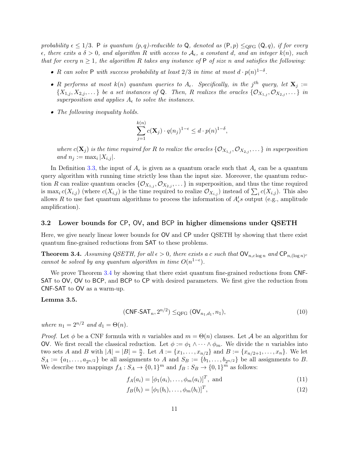probability  $\epsilon \leq 1/3$ . P is quantum  $(p, q)$ -reducible to Q, denoted as  $(P, p) \leq_{QFG} (Q, q)$ , if for every  $\epsilon$ , there exits a  $\delta > 0$ , and algorithm R with access to  $\mathcal{A}_{\epsilon}$ , a constant d, and an integer  $k(n)$ , such that for every  $n \geq 1$ , the algorithm R takes any instance of P of size n and satisfies the following:

- R can solve P with success probability at least  $2/3$  in time at most  $d \cdot p(n)^{1-\delta}$ .
- R performs at most  $k(n)$  quantum queries to  $A_{\epsilon}$ . Specifically, in the j<sup>th</sup> query, let  $\mathbf{X}_{j} :=$  $\{X_{1,j}, X_{2,j}, \ldots\}$  be a set instances of Q. Then, R realizes the oracles  $\{\mathcal{O}_{X_{1,j}}, \mathcal{O}_{X_{2,j}}, \ldots\}$  in superposition and applies  $A_{\epsilon}$  to solve the instances.
- The following inequality holds.

$$
\sum_{j=1}^{k(n)} c(\mathbf{X}_j) \cdot q(n_j)^{1-\epsilon} \leq d \cdot p(n)^{1-\delta},
$$

where  $c(\mathbf{X}_j)$  is the time required for R to realize the oracles  $\{\mathcal{O}_{X_{1,j}},\mathcal{O}_{X_{2,j}},\dots\}$  in superposition and  $n_j := \max_i |X_{i,j}|$ .

In Definition [3.3,](#page-10-0) the input of  $A_{\epsilon}$  is given as a quantum oracle such that  $A_{\epsilon}$  can be a quantum query algorithm with running time strictly less than the input size. Moreover, the quantum reduction R can realize quantum oracles  $\{\mathcal{O}_{X_{1,j}}, \mathcal{O}_{X_{2,j}}, \ldots\}$  in superposition, and thus the time required is max<sub>i</sub>  $c(X_{i,j})$  (where  $c(X_{i,j})$  is the time required to realize  $\mathcal{O}_{X_{i,j}}$ ) instead of  $\sum_i c(X_{i,j})$ . This also allows R to use fast quantum algorithms to process the information of  $A'_\epsilon s$  output (e.g., amplitude amplification).

### 3.2 Lower bounds for CP, OV, and BCP in higher dimensions under QSETH

Here, we give nearly linear lower bounds for OV and CP under QSETH by showing that there exist quantum fine-grained reductions from SAT to these problems.

<span id="page-11-0"></span>**Theorem 3.4.** Assuming QSETH, for all  $\epsilon > 0$ , there exists a c such that  $\text{OV}_{n,c \log n}$  and  $\text{CP}_{n,(\log n)^c}$ cannot be solved by any quantum algorithm in time  $O(n^{1-\epsilon})$ .

We prove Theorem [3.4](#page-11-0) by showing that there exist quantum fine-grained reductions from CNF-SAT to OV, OV to BCP, and BCP to CP with desired parameters. We first give the reduction from CNF-SAT to OV as a warm-up.

#### <span id="page-11-1"></span>Lemma 3.5.

$$
(\mathsf{CNF}\text{-}\mathsf{SAT}_n, 2^{n/2}) \leq_{\mathrm{QFG}} (\mathsf{OV}_{n_1,d_1}, n_1), \tag{10}
$$

where  $n_1 = 2^{n/2}$  and  $d_1 = \Theta(n)$ .

*Proof.* Let  $\phi$  be a CNF formula with n variables and  $m = \Theta(n)$  clauses. Let A be an algorithm for OV. We first recall the classical reduction. Let  $\phi := \phi_1 \wedge \cdots \wedge \phi_m$ . We divide the *n* variables into two sets A and B with  $|A| = |B| = \frac{n}{2}$  $\frac{n}{2}$ . Let  $A := \{x_1, \ldots, x_{n/2}\}$  and  $B := \{x_{n/2+1}, \ldots, x_n\}$ . We let  $S_A := \{a_1, \ldots, a_{2n/2}\}\$ be all assignments to A and  $S_B := \{b_1, \ldots, b_{2n/2}\}\$ be all assignments to B. We describe two mappings  $f_A: S_A \to \{0,1\}^m$  and  $f_B: S_B \to \{0,1\}^m$  as follows:

$$
f_A(a_i) = [\phi_1(a_i), \dots, \phi_m(a_i)]^T, \text{ and } (11)
$$

$$
f_B(b_i) = [\phi_1(b_i), \dots, \phi_m(b_i)]^T,
$$
\n(12)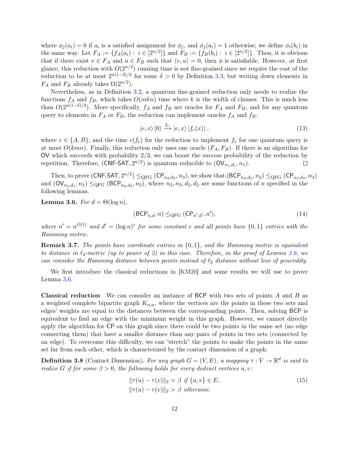where  $\phi_j(a_i) = 0$  if  $a_i$  is a satisfied assignment for  $\phi_j$ , and  $\phi_j(a_i) = 1$  otherwise; we define  $\phi_i(b_i)$  in the same way. Let  $F_A := \{ f_A(a_i) : i \in [2^{n/2}] \}$  and  $F_B := \{ f_B(b_i) : i \in [2^{n/2}] \}$ . Then, it is obvious that if there exist  $v \in F_A$  and  $u \in F_B$  such that  $\langle v, u \rangle = 0$ , then  $\phi$  is satisfiable. However, at first glance, this reduction with  $O(2^{n/2})$  running time is not fine-grained since we require the cost of the reduction to be at most  $2^{n(1-\delta)/2}$  for some  $\delta > 0$  by Definition [3.3,](#page-10-0) but writing down elements in  $F_A$  and  $F_B$  already takes  $\Omega(2^{n/2})$ .

Nevertheless, as in Definition [3.2,](#page-10-1) a quantum fine-grained reduction only needs to realize the functions  $f_A$  and  $f_B$ , which takes  $O(mkn)$  time where k is the width of clauses. This is much less than  $O(2^{n(1-\delta)/2})$ . More specifically,  $f_A$  and  $f_B$  are oracles for  $F_A$  and  $F_B$ , and for any quantum query to elements in  $F_A$  or  $F_B$ , the reduction can implement oracles  $f_A$  and  $f_B$ :

$$
|e, x\rangle |0\rangle \xrightarrow{f_e} |e, x\rangle |f_e(x)\rangle , \qquad (13)
$$

where  $e \in \{A, B\}$ , and the time  $c(f_e)$  for the reduction to implement  $f_e$  for one quantum query is at most  $O(kmn)$ . Finally, this reduction only uses one oracle  $(F_A, F_B)$ . If there is an algorithm for  $\overline{O}V$  which succeeds with probability  $2/3$ , we can boost the success probability of the reduction by repetition. Therefore,  $(CNF-SAT, 2^{n/2})$  is quantum reducible to  $(OV_{n_1,d_1}, n_1)$ .  $\Box$ 

Then, to prove  $(\text{CNF-SAT}, 2^{n/2}) \leq_{\text{QFG}} (\text{CP}_{n_3,d_3}, n_3)$ , we show that  $(\text{BCP}_{n_2,d_2}, n_2) \leq_{\text{QFG}} (\text{CP}_{n_3,d_3}, n_3)$ and  $(\mathsf{OV}_{n_1,d_1}, n_1) \leq_{\mathsf{QFG}} (\mathsf{BCP}_{n_2,d_2}, n_2)$ , where  $n_2, n_3, d_2, d_3$  are some functions of n specified in the following lemmas.

<span id="page-12-0"></span>**Lemma 3.6.** For  $d = \Theta(\log n)$ ,

$$
(\mathsf{BCP}_{n,d}, n) \leq_{\mathsf{QFG}} (\mathsf{CP}_{n',d'}, n'), \tag{14}
$$

where  $n' = n^{O(1)}$  and  $d' = (\log n)^c$  for some constant c and all points have  $\{0, 1\}$  entries with the Hamming metric.

**Remark 3.7.** The points have coordinate entries in  $\{0, 1\}$ , and the Hamming metric is equivalent to distance in  $\ell_2$ -metric (up to power of 2) in this case. Therefore, in the proof of Lemma [3.6,](#page-12-0) we can consider the Hamming distance between points instead of  $\ell_2$  distance without loss of generality.

We first introduce the classical reductions in [\[KM20\]](#page-44-5) and some results we will use to prove Lemma [3.6.](#page-12-0)

Classical reduction We can consider an instance of BCP with two sets of points A and B as a weighted complete bipartite graph  $K_{n,n}$ , where the vertices are the points in these two sets and edges' weights are equal to the distances between the corresponding points. Then, solving BCP is equivalent to find an edge with the minimum weight in this graph. However, we cannot directly apply the algorithm for CP on this graph since there could be two points in the same set (no edge connecting them) that have a smaller distance than any pairs of points in two sets (connected by an edge). To overcome this difficulty, we can "stretch" the points to make the points in the same set far from each other, which is characterized by the contact dimension of a graph:

**Definition 3.8** (Contact Dimension). For any graph  $G = (V, E)$ , a mapping  $\tau : V \to \mathbb{R}^d$  is said to realize G if for some  $\beta > 0$ , the following holds for every distinct vertices u, v:

$$
\|\tau(u) - \tau(v)\|_2 = \beta \text{ if } \{u, v\} \in E,
$$
  

$$
\|\tau(u) - \tau(v)\|_2 > \beta \text{ otherwise.}
$$
 (15)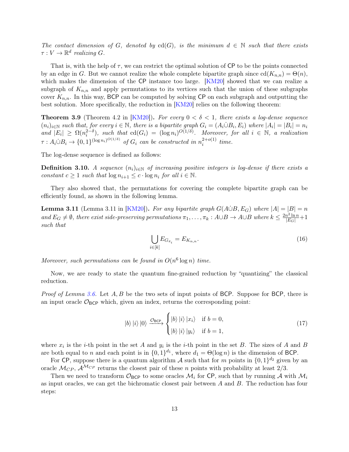The contact dimension of G, denoted by cd(G), is the minimum  $d \in \mathbb{N}$  such that there exists  $\tau: V \to \mathbb{R}^d$  realizing G.

That is, with the help of  $\tau$ , we can restrict the optimal solution of CP to be the points connected by an edge in G. But we cannot realize the whole complete bipartite graph since  $\text{cd}(K_{n,n}) = \Theta(n)$ , which makes the dimension of the CP instance too large. [\[KM20\]](#page-44-5) showed that we can realize a subgraph of  $K_{n,n}$  and apply permutations to its vertices such that the union of these subgraphs cover  $K_{n,n}$ . In this way, BCP can be computed by solving CP on each subgraph and outputting the best solution. More specifically, the reduction in [\[KM20\]](#page-44-5) relies on the following theorem:

<span id="page-13-0"></span>**Theorem 3.9** (Theorem 4.2 in [\[KM20\]](#page-44-5)). For every  $0 < \delta < 1$ , there exists a log-dense sequence  $(n_i)_{i\in\mathbb{N}}$  such that, for every  $i\in\mathbb{N}$ , there is a bipartite graph  $G_i=(A_i\dot{\cup}B_i,E_i)$  where  $|A_i|=|B_i|=n_i$ and  $|E_i| \geq \Omega(n_i^{2-\delta})$ , such that  $\text{cd}(G_i) = (\log n_i)^{O(1/\delta)}$ . Moreover, for all  $i \in \mathbb{N}$ , a realization  $\tau : A_i \dot{\cup} B_i \to \{0,1\}^{(\log n_i)^{O(1/\delta)}}$  of  $G_i$  can be constructed in  $n_i^{2+o(1)}$  $\int_{i}^{2+O(1)}$  time.

The log-dense sequence is defined as follows:

**Definition 3.10.** A sequence  $(n_i)_{i\in\mathbb{N}}$  of increasing positive integers is log-dense if there exists a constant  $c \geq 1$  such that  $\log n_{i+1} \leq c \cdot \log n_i$  for all  $i \in \mathbb{N}$ .

They also showed that, the permutations for covering the complete bipartite graph can be efficiently found, as shown in the following lemma.

<span id="page-13-1"></span>**Lemma 3.11** (Lemma 3.11 in [\[KM20\]](#page-44-5)). For any bipartite graph  $G(A \cup B, E_G)$  where  $|A| = |B| = n$ and  $E_G \neq \emptyset$ , there exist side-preserving permutations  $\pi_1, \ldots, \pi_k : A \cup B \to A \cup B$  where  $k \leq \frac{2n^2 \ln n}{|E_G|} + 1$ such that

$$
\bigcup_{i\in[k]} E_{G_{\pi_i}} = E_{K_{n,n}}.\tag{16}
$$

Moreover, such permutations can be found in  $O(n^6 \log n)$  time.

Now, we are ready to state the quantum fine-grained reduction by "quantizing" the classical reduction.

*Proof of Lemma [3.6.](#page-12-0)* Let  $A, B$  be the two sets of input points of BCP. Suppose for BCP, there is an input oracle  $\mathcal{O}_{BCP}$  which, given an index, returns the corresponding point:

$$
|b\rangle |i\rangle |0\rangle \xrightarrow{\mathcal{O}_{\text{BCP}}} \begin{cases} |b\rangle |i\rangle |x_i\rangle & \text{if } b = 0, \\ |b\rangle |i\rangle |y_i\rangle & \text{if } b = 1, \end{cases}
$$
(17)

where  $x_i$  is the *i*-th point in the set A and  $y_i$  is the *i*-th point in the set B. The sizes of A and B are both equal to n and each point is in  $\{0,1\}^{d_1}$ , where  $d_1 = \Theta(\log n)$  is the dimension of BCP.

For CP, suppose there is a quantum algorithm A such that for m points in  $\{0,1\}^{d_2}$  given by an oracle  $\mathcal{M}_{CP}$ ,  $\mathcal{A}^{\mathcal{M}_{CP}}$  returns the closest pair of these *n* points with probability at least 2/3.

Then we need to transform  $\mathcal{O}_{\text{BCP}}$  to some oracles  $\mathcal{M}_i$  for CP, such that by running A with  $\mathcal{M}_i$ as input oracles, we can get the bichromatic closest pair between A and B. The reduction has four steps: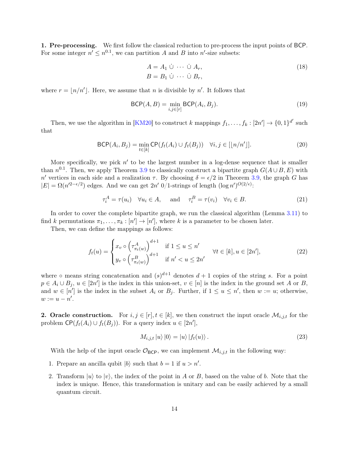1. Pre-processing. We first follow the classical reduction to pre-process the input points of BCP. For some integer  $n' \leq n^{0.1}$ , we can partition A and B into n'-size subsets:

<span id="page-14-1"></span><span id="page-14-0"></span>
$$
A = A_1 \cup \cdots \cup A_r,
$$
  
\n
$$
B = B_1 \cup \cdots \cup B_r,
$$
\n(18)

where  $r = |n/n'|$ . Here, we assume that n is divisible by n'. It follows that

$$
\text{BCP}(A, B) = \min_{i,j \in [r]} \text{BCP}(A_i, B_j). \tag{19}
$$

Then, we use the algorithm in [\[KM20\]](#page-44-5) to construct k mappings  $f_1, \ldots, f_k : [2n'] \to \{0,1\}^{d'}$  such that

$$
\text{BCP}(A_i, B_j) = \min_{t \in [k]} \text{CP}(f_t(A_i) \cup f_t(B_j)) \quad \forall i, j \in [\lfloor n/n' \rfloor]. \tag{20}
$$

More specifically, we pick  $n'$  to be the largest number in a log-dense sequence that is smaller than  $n^{0.1}$ . Then, we apply Theorem [3.9](#page-13-0) to classically construct a bipartite graph  $G(A \cup B, E)$  with n' vertices in each side and a realization  $\tau$ . By choosing  $\delta = \epsilon/2$  in Theorem [3.9,](#page-13-0) the graph G has  $|E| = \Omega(n^{2-\epsilon/2})$  edges. And we can get  $2n'$  0/1-strings of length  $(\log n')^{O(2/\epsilon)}$ :

$$
\tau_i^A = \tau(u_i) \quad \forall u_i \in A, \quad \text{and} \quad \tau_i^B = \tau(v_i) \quad \forall v_i \in B.
$$
 (21)

In order to cover the complete bipartite graph, we run the classical algorithm (Lemma [3.11\)](#page-13-1) to find k permutations  $\pi_1, \ldots, \pi_k : [n'] \to [n']$ , where k is a parameter to be chosen later.

Then, we can define the mappings as follows:

$$
f_t(u) = \begin{cases} x_v \circ \left(\tau_{\pi_t(w)}^A\right)^{d+1} & \text{if } 1 \le u \le n' \\ y_v \circ \left(\tau_{\pi_t(w)}^B\right)^{d+1} & \text{if } n' < u \le 2n' \end{cases} \quad \forall t \in [k], u \in [2n'], \tag{22}
$$

where  $\circ$  means string concatenation and  $(s)^{d+1}$  denotes  $d+1$  copies of the string s. For a point  $p \in A_i \cup B_j$ ,  $u \in [2n']$  is the index in this union-set,  $v \in [n]$  is the index in the ground set A or B, and  $w \in [n']$  is the index in the subset  $A_i$  or  $B_j$ . Further, if  $1 \le u \le n'$ , then  $w := u$ ; otherwise,  $w := u - n'.$ 

**2. Oracle construction.** For  $i, j \in [r], t \in [k]$ , we then construct the input oracle  $\mathcal{M}_{i,j,t}$  for the problem  $\mathsf{CP}(f_t(A_i) \cup f_t(B_j))$ . For a query index  $u \in [2n']$ ,

<span id="page-14-2"></span>
$$
M_{i,j,t} |u\rangle |0\rangle = |u\rangle |f_t(u)\rangle. \tag{23}
$$

With the help of the input oracle  $\mathcal{O}_{BCP}$ , we can implement  $\mathcal{M}_{i,j,t}$  in the following way:

- 1. Prepare an ancilla qubit  $|b\rangle$  such that  $b = 1$  if  $u > n'$ .
- 2. Transform  $|u\rangle$  to  $|v\rangle$ , the index of the point in A or B, based on the value of b. Note that the index is unique. Hence, this transformation is unitary and can be easily achieved by a small quantum circuit.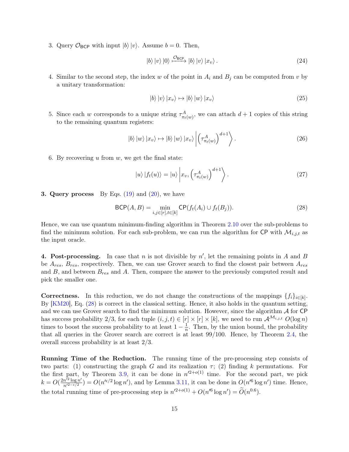3. Query  $\mathcal{O}_{\text{BCP}}$  with input  $|b\rangle |v\rangle$ . Assume  $b = 0$ . Then,

$$
|b\rangle|v\rangle|0\rangle \xrightarrow{\mathcal{O}_{\text{BCP}}} |b\rangle|v\rangle|x_v\rangle.
$$
 (24)

4. Similar to the second step, the index w of the point in  $A_i$  and  $B_j$  can be computed from v by a unitary transformation:

$$
|b\rangle|v\rangle|x_v\rangle \mapsto |b\rangle|w\rangle|x_v\rangle \tag{25}
$$

5. Since each w corresponds to a unique string  $\tau_{\pi_t(w)}^A$ , we can attach  $d+1$  copies of this string to the remaining quantum registers:

$$
|b\rangle |w\rangle |x_v\rangle \mapsto |b\rangle |w\rangle |x_v\rangle \left| \left(\tau_{\pi_t(w)}^A\right)^{d+1} \right\rangle. \tag{26}
$$

6. By recovering u from w, we get the final state:

<span id="page-15-0"></span>
$$
|u\rangle |f_t(u)\rangle = |u\rangle |x_v, \left(\tau^A_{\pi_t(w)}\right)^{d+1} \rangle.
$$
 (27)

**3. Query process** By Eqs.  $(19)$  and  $(20)$ , we have

$$
\text{BCP}(A, B) = \min_{i, j \in [r], t \in [k]} \text{CP}(f_t(A_i) \cup f_t(B_j)).
$$
\n(28)

Hence, we can use quantum minimum-finding algorithm in Theorem [2.10](#page-7-0) over the sub-problems to find the minimum solution. For each sub-problem, we can run the algorithm for CP with  $\mathcal{M}_{i,j,t}$  as the input oracle.

**4. Post-processing.** In case that n is not divisible by  $n'$ , let the remaining points in A and B be  $A_{res}$ ,  $B_{res}$ , respectively. Then, we can use Grover search to find the closest pair between  $A_{res}$ and  $B$ , and between  $B_{res}$  and  $A$ . Then, compare the answer to the previously computed result and pick the smaller one.

**Correctness.** In this reduction, we do not change the constructions of the mappings  $\{f_i\}_{i\in[k]}$ . By [\[KM20\]](#page-44-5), Eq. [\(28\)](#page-15-0) is correct in the classical setting. Hence, it also holds in the quantum setting, and we can use Grover search to find the minimum solution. However, since the algorithm  $\mathcal A$  for CP has success probability 2/3, for each tuple  $(i, j, t) \in [r] \times [r] \times [k]$ , we need to run  $\mathcal{A}^{\mathcal{M}_{i,j,t}}$   $O(\log n)$ times to boost the success probability to at least  $1 - \frac{1}{n}$  $\frac{1}{n}$ . Then, by the union bound, the probability that all queries in the Grover search are correct is at least 99/100. Hence, by Theorem [2.4,](#page-6-2) the overall success probability is at least 2/3.

Running Time of the Reduction. The running time of the pre-processing step consists of two parts: (1) constructing the graph G and its realization  $\tau$ ; (2) finding k permutations. For the first part, by Theorem [3.9,](#page-13-0) it can be done in  $n'^{2+o(1)}$  time. For the second part, we pick  $k = O(\frac{2n'^2 \log n'}{n'^{2-\epsilon/2}})$  $\frac{n^{2} \log n'}{n^{2-\epsilon/2}}$  =  $O(n^{\epsilon/2} \log n')$ , and by Lemma [3.11,](#page-13-1) it can be done in  $O(n^{6} \log n')$  time. Hence, the total running time of pre-processing step is  $n'^{2+o(1)} + O(n'^{6} \log n') = \widetilde{O}(n^{0.6}).$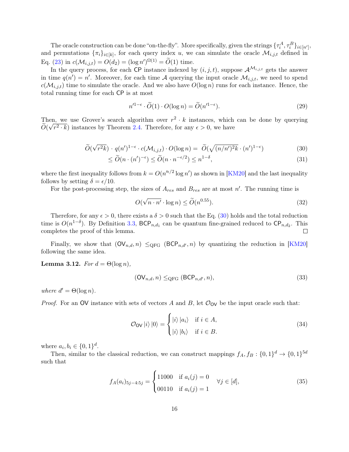The oracle construction can be done "on-the-fly". More specifically, given the strings  $\{\tau_i^A, \tau_i^B\}_{i \in [n']}$ , and permutations  $\{\pi_i\}_{i\in[k]}$ , for each query index u, we can simulate the oracle  $\mathcal{M}_{i,j,t}$  defined in Eq. [\(23\)](#page-14-2) in  $c(\mathcal{M}_{i,j,t}) = O(d_2) = (\log n')^{\Omega(1)} = \widetilde{O}(1)$  time.

In the query process, for each CP instance indexed by  $(i, j, t)$ , suppose  $\mathcal{A}^{\mathcal{M}_{i,j,t}}$  gets the answer in time  $q(n') = n'$ . Moreover, for each time A querying the input oracle  $\mathcal{M}_{i,j,t}$ , we need to spend  $c(\mathcal{M}_{i,j,t})$  time to simulate the oracle. And we also have  $O(\log n)$  runs for each instance. Hence, the total running time for each CP is at most

$$
n'^{1-\epsilon} \cdot \widetilde{O}(1) \cdot O(\log n) = \widetilde{O}(n'^{1-\epsilon}).\tag{29}
$$

Then, we use Grover's search algorithm over  $r^2 \cdot k$  instances, which can be done by querying  $O(\sqrt{r^2} \cdot k)$  instances by Theorem [2.4.](#page-6-2) Therefore, for any  $\epsilon > 0$ , we have

$$
\widetilde{O}(\sqrt{r^2k}) \cdot q(n')^{1-\epsilon} \cdot c(\mathcal{M}_{i,j,t}) \cdot O(\log n) = \widetilde{O}(\sqrt{(n/n')^2k} \cdot (n')^{1-\epsilon}) \tag{30}
$$

$$
\leq \widetilde{O}(n \cdot (n')^{-\epsilon}) \leq \widetilde{O}(n \cdot n^{-\epsilon/2}) \leq n^{1-\delta},\tag{31}
$$

where the first inequality follows from  $k = O(n^{\kappa/2} \log n')$  as shown in [\[KM20\]](#page-44-5) and the last inequality follows by setting  $\delta = \epsilon/10$ .

For the post-processing step, the sizes of  $A_{res}$  and  $B_{res}$  are at most n'. The running time is

<span id="page-16-0"></span>
$$
O(\sqrt{n \cdot n'} \cdot \log n) \le \tilde{O}(n^{0.55}).\tag{32}
$$

Therefore, for any  $\epsilon > 0$ , there exists a  $\delta > 0$  such that the Eq. [\(30\)](#page-16-0) holds and the total reduction time is  $O(n^{1-\delta})$ . By Definition [3.3,](#page-10-0) BCP<sub>n,d<sub>1</sub></sub> can be quantum fine-grained reduced to CP<sub>n,d<sub>2</sub></sub>. This completes the proof of this lemma.  $\Box$ 

Finally, we show that  $(\mathsf{OV}_{n,d}, n) \leq_{\text{QFG}} (\text{BCP}_{n,d'}, n)$  by quantizing the reduction in [\[KM20\]](#page-44-5) following the same idea.

<span id="page-16-1"></span>Lemma 3.12. For  $d = \Theta(\log n)$ ,

$$
(\text{OV}_{n,d}, n) \leq_{\text{QFG}} (\text{BCP}_{n,d'}, n), \tag{33}
$$

where  $d' = \Theta(\log n)$ .

*Proof.* For an OV instance with sets of vectors A and B, let  $\mathcal{O}_{\text{OV}}$  be the input oracle such that:

$$
\mathcal{O}_{\mathsf{OV}}|i\rangle|0\rangle = \begin{cases} |i\rangle|a_i\rangle & \text{if } i \in A, \\ |i\rangle|b_i\rangle & \text{if } i \in B. \end{cases}
$$
\n(34)

where  $a_i, b_i \in \{0, 1\}^d$ .

Then, similar to the classical reduction, we can construct mappings  $f_A, f_B: \{0,1\}^d \to \{0,1\}^{5d}$ such that

$$
f_A(a_i)_{5j-4:5j} = \begin{cases} 11000 & \text{if } a_i(j) = 0 \\ 00110 & \text{if } a_i(j) = 1 \end{cases} \quad \forall j \in [d], \tag{35}
$$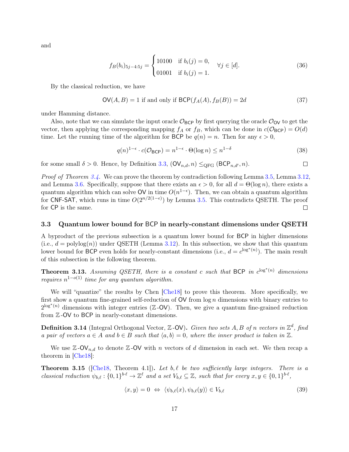and

$$
f_B(b_i)_{5j-4:5j} = \begin{cases} 10100 & \text{if } b_i(j) = 0, \\ 01001 & \text{if } b_i(j) = 1. \end{cases} \quad \forall j \in [d]. \tag{36}
$$

By the classical reduction, we have

$$
OV(A, B) = 1 \text{ if and only if } BCP(f_A(A), f_B(B)) = 2d \tag{37}
$$

under Hamming distance.

Also, note that we can simulate the input oracle  $\mathcal{O}_{BCP}$  by first querying the oracle  $\mathcal{O}_{OV}$  to get the vector, then applying the corresponding mapping  $f_A$  or  $f_B$ , which can be done in  $c(\mathcal{O}_{BCP}) = O(d)$ time. Let the running time of the algorithm for BCP be  $q(n) = n$ . Then for any  $\epsilon > 0$ ,

$$
q(n)^{1-\epsilon} \cdot c(\mathcal{O}_{\text{BCP}}) = n^{1-\epsilon} \cdot \Theta(\log n) \le n^{1-\delta} \tag{38}
$$

for some small  $\delta > 0$ . Hence, by Definition [3.3,](#page-10-0)  $(\mathsf{OV}_{n,d}, n) \leq_{\text{QFG}} (\text{BCP}_{n,d'}, n)$ .  $\Box$ 

*Proof of Theorem [3.4.](#page-11-0)* We can prove the theorem by contradiction following Lemma [3.5,](#page-11-1) Lemma [3.12,](#page-16-1) and Lemma [3.6.](#page-12-0) Specifically, suppose that there exists an  $\epsilon > 0$ , for all  $d = \Theta(\log n)$ , there exists a quantum algorithm which can solve OV in time  $O(n^{1-\epsilon})$ . Then, we can obtain a quantum algorithm for CNF-SAT, which runs in time  $O(2^{n/2(1-\epsilon)})$  by Lemma [3.5.](#page-11-1) This contradicts QSETH. The proof for CP is the same.  $\Box$ 

#### 3.3 Quantum lower bound for BCP in nearly-constant dimensions under QSETH

A byproduct of the previous subsection is a quantum lower bound for BCP in higher dimensions  $(i.e., d = polylog(n))$  under QSETH (Lemma [3.12\)](#page-16-1). In this subsection, we show that this quantum lower bound for BCP even holds for nearly-constant dimensions (i.e.,  $d = c^{\log^*(n)}$ ). The main result of this subsection is the following theorem.

<span id="page-17-0"></span>**Theorem 3.13.** Assuming QSETH, there is a constant c such that BCP in  $c^{\log^*(n)}$  dimensions requires  $n^{1-o(1)}$  time for any quantum algorithm.

We will "quantize" the results by Chen [\[Che18\]](#page-43-9) to prove this theorem. More specifically, we first show a quantum fine-grained self-reduction of  $OV$  from  $\log n$  dimensions with binary entries to  $2^{\log^*(n)}$  dimensions with integer entries (Z-OV). Then, we give a quantum fine-grained reduction from Z -OV to BCP in nearly-constant dimensions.

**Definition 3.14** (Integral Orthogonal Vector,  $\mathbb{Z}$ -OV). Given two sets A, B of n vectors in  $\mathbb{Z}^d$ , find a pair of vectors  $a \in A$  and  $b \in B$  such that  $\langle a, b \rangle = 0$ , where the inner product is taken in  $\mathbb{Z}$ .

We use  $\mathbb{Z}$ -OV<sub>n,d</sub> to denote  $\mathbb{Z}$ -OV with n vectors of d dimension in each set. We then recap a theorem in [\[Che18\]](#page-43-9):

<span id="page-17-1"></span>**Theorem 3.15** ([\[Che18,](#page-43-9) Theorem 4.1]). Let b,  $\ell$  be two sufficiently large integers. There is a classical reduction  $\psi_{b,\ell} : \{0,1\}^{b\cdot\ell} \to \mathbb{Z}^{\ell}$  and a set  $V_{b,\ell} \subseteq \mathbb{Z}$ , such that for every  $x, y \in \{0,1\}^{b\cdot\ell}$ ,

<span id="page-17-2"></span>
$$
\langle x, y \rangle = 0 \Leftrightarrow \langle \psi_{b,\ell}(x), \psi_{b,\ell}(y) \rangle \in V_{b,\ell} \tag{39}
$$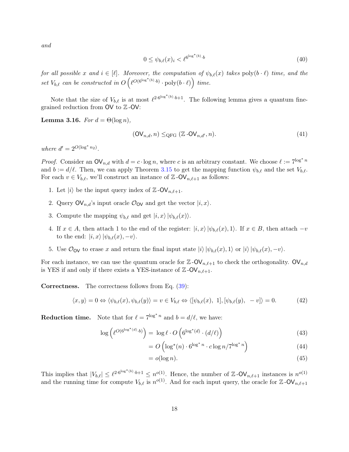and

$$
0 \le \psi_{b,\ell}(x)_i < \ell^{6^{\log^*(b)} \cdot b} \tag{40}
$$

for all possible x and  $i \in [\ell]$ . Moreover, the computation of  $\psi_{b,\ell}(x)$  takes poly $(b \cdot \ell)$  time, and the set  $V_{b,\ell}$  can be constructed in  $O\left(\ell^{O(6^{\log^*(b)} \cdot b)} \cdot \text{poly}(b \cdot \ell)\right)$  time.

Note that the size of  $V_{b,\ell}$  is at most  $\ell^{2 \cdot 6^{\log^*(b)} \cdot b+1}$ . The following lemma gives a quantum finegrained reduction from OV to Z -OV:

<span id="page-18-0"></span>**Lemma 3.16.** For  $d = \Theta(\log n)$ ,

$$
(\text{OV}_{n,d}, n) \leq_{\text{QFG}} (\mathbb{Z} - \text{OV}_{n,d'}, n). \tag{41}
$$

where  $d' = 2^{O(\log^* n_2)}$ .

*Proof.* Consider an  $\mathsf{OV}_{n,d}$  with  $d = c \cdot \log n$ , where c is an arbitrary constant. We choose  $\ell := 7^{\log^* n}$ and  $b := d/\ell$ . Then, we can apply Theorem [3.15](#page-17-1) to get the mapping function  $\psi_{b,\ell}$  and the set  $V_{b,\ell}$ . For each  $v \in V_{b,\ell}$ , we'll construct an instance of  $\mathbb{Z}$ -OV<sub>n, $\ell+1$ </sub> as follows:

- 1. Let  $|i\rangle$  be the input query index of  $\mathbb{Z}$ -OV<sub>n, $\ell+1$ </sub>.
- 2. Query  $\mathsf{OV}_{n,d}$ 's input oracle  $\mathcal{O}_{\mathsf{OV}}$  and get the vector  $|i, x\rangle$ .
- 3. Compute the mapping  $\psi_{b,\ell}$  and get  $|i, x \rangle |\psi_{b,\ell}(x)\rangle$ .
- 4. If  $x \in A$ , then attach 1 to the end of the register:  $|i, x \rangle |\psi_{b,\ell}(x), 1\rangle$ . If  $x \in B$ , then attach  $-v$ to the end:  $|i, x\rangle |\psi_{b,\ell}(x), -v\rangle$ .
- 5. Use  $\mathcal{O}_{\text{OV}}$  to erase x and return the final input state  $|i\rangle |\psi_{b,\ell}(x), 1\rangle$  or  $|i\rangle |\psi_{b,\ell}(x), -v\rangle$ .

For each instance, we can use the quantum oracle for  $\mathbb{Z}$ -OV<sub>n, $\ell$ +1</sub> to check the orthogonality. OV<sub>n,d</sub> is YES if and only if there exists a YES-instance of  $\mathbb{Z}$ -OV<sub>n, $\ell$ +1</sub>.

**Correctness.** The correctness follows from Eq.  $(39)$ :

$$
\langle x, y \rangle = 0 \Leftrightarrow \langle \psi_{b,\ell}(x), \psi_{b,\ell}(y) \rangle = v \in V_{b,\ell} \Leftrightarrow \langle [\psi_{b,\ell}(x), 1], [\psi_{b,\ell}(y), -v] \rangle = 0. \tag{42}
$$

**Reduction time.** Note that for  $\ell = 7^{\log^* n}$  and  $b = d/\ell$ , we have:

$$
\log\left(\ell^{O(6^{\log^*(d)} \cdot b)}\right) = \log \ell \cdot O\left(6^{\log^*(d)} \cdot (d/\ell)\right) \tag{43}
$$

$$
= O\left(\log^*(n) \cdot 6^{\log^* n} \cdot c \log n / 7^{\log^* n}\right) \tag{44}
$$

$$
=o(\log n). \tag{45}
$$

This implies that  $|V_{b,\ell}| \leq \ell^{2 \cdot 6^{\log^*(b)} \cdot b+1} \leq n^{o(1)}$ . Hence, the number of Z-OV<sub>n, $\ell+1$ </sub> instances is  $n^{o(1)}$ and the running time for compute  $V_{b,\ell}$  is  $n^{o(1)}$ . And for each input query, the oracle for  $\mathbb{Z}$ -OV<sub>n, $\ell+1$ </sub>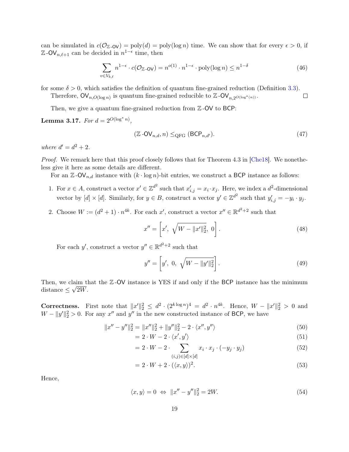can be simulated in  $c(\mathcal{O}_{\mathbb{Z}-\mathsf{O}\mathsf{V}}) = \text{poly}(d) = \text{poly}(\log n)$  time. We can show that for every  $\epsilon > 0$ , if  $\mathbb{Z}$ -OV<sub>n, $\ell+1$ </sub> can be decided in  $n^{1-\epsilon}$  time, then

$$
\sum_{v \in V_{b,\ell}} n^{1-\epsilon} \cdot c(\mathcal{O}_{\mathbb{Z}} \text{-ov}) = n^{o(1)} \cdot n^{1-\epsilon} \cdot \text{poly}(\log n) \le n^{1-\delta} \tag{46}
$$

for some  $\delta > 0$ , which satisfies the definition of quantum fine-grained reduction (Definition [3.3\)](#page-10-0). Therefore,  $\mathsf{OV}_{n,O(\log n)}$  is quantum fine-grained reducible to  $\mathbb{Z}$ - $\mathsf{OV}_{n,2^{O(\log^*(n))}}$ .  $\Box$ 

Then, we give a quantum fine-grained reduction from  $\mathbb{Z}$ -OV to BCP:

<span id="page-19-0"></span>Lemma 3.17. For  $d = 2^{O(\log^* n)}$ ,

$$
(\mathbb{Z} \text{-OV}_{n,d}, n) \leq_{\text{QFG}} (\text{BCP}_{n,d'}).
$$
\n
$$
(47)
$$

where  $d'=d^2+2$ .

Proof. We remark here that this proof closely follows that for Theorem 4.3 in [\[Che18\]](#page-43-9). We nonetheless give it here as some details are different.

For an  $\mathbb{Z}$ -OV<sub>n,d</sub> instance with  $(k \cdot \log n)$ -bit entries, we construct a BCP instance as follows:

- 1. For  $x \in A$ , construct a vector  $x' \in \mathbb{Z}^{d^2}$  such that  $x'_{i,j} = x_i \cdot x_j$ . Here, we index a  $d^2$ -dimensional vector by  $[d] \times [d]$ . Similarly, for  $y \in B$ , construct a vector  $y' \in \mathbb{Z}^{d^2}$  such that  $y'_{i,j} = -y_i \cdot y_j$ .
- 2. Choose  $W := (d^2 + 1) \cdot n^{4k}$ . For each x', construct a vector  $x'' \in \mathbb{R}^{d^2+2}$  such that

$$
x'' = \left[x', \sqrt{W - ||x'||_2^2}, 0\right].
$$
\n(48)

For each y', construct a vector  $y'' \in \mathbb{R}^{d^2+2}$  such that

$$
y'' = \left[y', 0, \sqrt{W - ||y'||_2^2}\right].
$$
\n(49)

Then, we claim that the  $\mathbb{Z}-\mathsf{OV}$  instance is YES if and only if the BCP instance has the minimum distance  $\leq \sqrt{2W}$ .

Correctness. First note that  $||x'||_2^2 \leq d^2 \cdot (2^{k \log n})^4 = d^2 \cdot n^{4k}$ . Hence,  $W - ||x'||_2^2 > 0$  and  $W - ||y'||_2^2 > 0$ . For any x'' and y'' in the new constructed instance of BCP, we have

$$
||x'' - y''||_2^2 = ||x''||_2^2 + ||y''||_2^2 - 2 \cdot \langle x'', y'' \rangle \tag{50}
$$

$$
= 2 \cdot W - 2 \cdot \langle x', y' \rangle \tag{51}
$$

$$
= 2 \cdot W - 2 \cdot \sum_{(i,j) \in [d] \times [d]} x_i \cdot x_j \cdot (-y_j \cdot y_j) \tag{52}
$$

$$
= 2 \cdot W + 2 \cdot (\langle x, y \rangle)^2. \tag{53}
$$

Hence,

$$
\langle x, y \rangle = 0 \Leftrightarrow \|x'' - y''\|_2^2 = 2W. \tag{54}
$$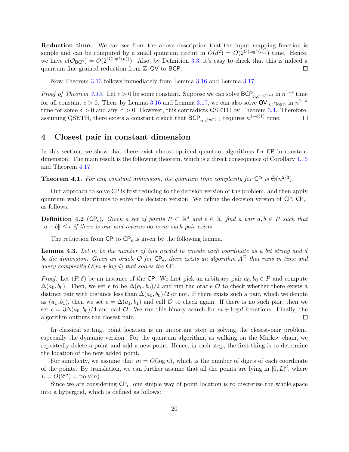Reduction time. We can see from the above description that the input mapping function is simple and can be computed by a small quantum circuit in  $O(d^2) = O(2^{O(\log^*(n))})$  time. Hence, we have  $c(\mathcal{O}_{BCP}) = O(2^{O(\log^*(n))})$ . Also, by Definition [3.3,](#page-10-0) it's easy to check that this is indeed a quantum fine-grained reduction from Z -OV to BCP.  $\Box$ 

Now Theorem [3.13](#page-17-0) follows immediately from Lemma [3.16](#page-18-0) and Lemma [3.17:](#page-19-0)

*Proof of Theorem [3.13.](#page-17-0)* Let  $\epsilon > 0$  be some constant. Suppose we can solve  $\mathsf{BCP}_{n,c^{\log^*(n)}}$  in  $n^{1-\epsilon}$  time for all constant  $c > 0$ . Then, by Lemma [3.16](#page-18-0) and Lemma [3.17,](#page-19-0) we can also solve  $\mathsf{OV}_{n,c'\log n}$  in  $n^{1-\delta}$ time for some  $\delta > 0$  and any  $c' > 0$ . However, this contradicts QSETH by Theorem [3.4.](#page-11-0) Therefore, assuming QSETH, there exists a constant c such that  $BCP_{n,c^{\log^*(n)}}$  requires  $n^{1-o(1)}$  time.  $\Box$ 

### <span id="page-20-1"></span>4 Closest pair in constant dimension

In this section, we show that there exist almost-optimal quantum algorithms for CP in constant dimension. The main result is the following theorem, which is a direct consequence of Corollary [4.16](#page-34-1) and Theorem [4.17.](#page-34-0)

**Theorem 4.1.** For any constant dimension, the quantum time complexity for  $\textsf{CP}\n$  is  $\widetilde{\Theta}(n^{2/3})$ .

Our approach to solve CP is first reducing to the decision version of the problem, and then apply quantum walk algorithms to solve the decision version. We define the decision version of  $\text{CP}, \text{CP}_\epsilon$ , as follows.

**Definition 4.2** ( $\text{CP}_{\epsilon}$ ). Given a set of points  $P \subset \mathbb{R}^d$  and  $\epsilon \in \mathbb{R}$ , find a pair  $a, b \in P$  such that  $||a - b|| \leq \epsilon$  if there is one and returns no is no such pair exists.

The reduction from  $\text{CP}_{\epsilon}$  is given by the following lemma.

<span id="page-20-0"></span>**Lemma 4.3.** Let  $m$  be the number of bits needed to encode each coordinate as a bit string and  $d$ be the dimension. Given an oracle  $\mathcal O$  for  $\mathsf{CP}_\epsilon$ , there exists an algorithm  $A^{\mathcal O}$  that runs in time and query complexity  $O(m + \log d)$  that solves the CP.

*Proof.* Let  $(P, \delta)$  be an instance of the CP. We first pick an arbitrary pair  $a_0, b_0 \in P$  and compute  $\Delta(a_0, b_0)$ . Then, we set  $\epsilon$  to be  $\Delta(a_0, b_0)/2$  and run the oracle O to check whether there exists a distinct pair with distance less than  $\Delta(a_0, b_0)/2$  or not. If there exists such a pair, which we denote as  $(a_1, b_1)$ , then we set  $\epsilon = \Delta(a_1, b_1)$  and call  $\mathcal O$  to check again. If there is no such pair, then we set  $\epsilon = 3\Delta(a_0, b_0)/4$  and call O. We run this binary search for  $m + \log d$  iterations. Finally, the algorithm outputs the closest pair.  $\Box$ 

In classical setting, point location is an important step in solving the closest-pair problem, especially the dynamic version. For the quantum algorithm, as walking on the Markov chain, we repeatedly delete a point and add a new point. Hence, in each step, the first thing is to determine the location of the new added point.

For simplicity, we assume that  $m = O(\log n)$ , which is the number of digits of each coordinate of the points. By translation, we can further assume that all the points are lying in  $[0, L]^d$ , where  $L = O(2^m) = \text{poly}(n).$ 

Since we are considering  $\mathsf{CP}_{\epsilon}$ , one simple way of point location is to discretize the whole space into a hypergrid, which is defined as follows: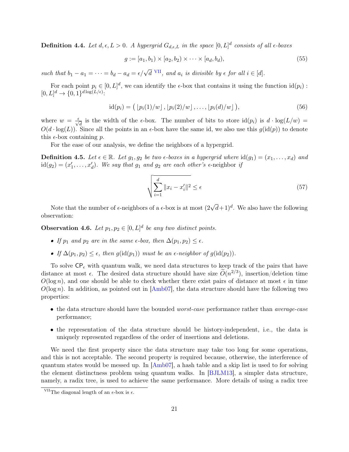**Definition 4.4.** Let  $d, \epsilon, L > 0$ . A hypergrid  $G_{d,\epsilon,L}$  in the space  $[0, L]^d$  consists of all  $\epsilon$ -boxes

$$
g := [a_1, b_1) \times [a_2, b_2) \times \cdots \times [a_d, b_d), \tag{55}
$$

such that  $b_1 - a_1 = \cdots = b_d - a_d = \epsilon/\sqrt{d}$  [VII](#page-21-0), and  $a_i$  is divisible by  $\epsilon$  for all  $i \in [d]$ .

For each point  $p_i \in [0, L]^d$ , we can identify the  $\epsilon$ -box that contains it using the function  $\mathrm{id}(p_i)$ :  $[0,L]^d \to \{0,1\}^{d \log(L/\epsilon)}$ :

$$
id(p_i) = (p_i(1)/w], [p_i(2)/w], \ldots, [p_i(d)/w]), \qquad (56)
$$

where  $w = \frac{\epsilon}{\sqrt{d}}$  is the width of the  $\epsilon$ -box. The number of bits to store  $\mathrm{id}(p_i)$  is  $d \cdot \mathrm{log}(L/w) =$  $O(d \cdot \log(L))$ . Since all the points in an  $\epsilon$ -box have the same id, we also use this  $g(\text{id}(p))$  to denote this  $\epsilon$ -box containing p.

For the ease of our analysis, we define the neighbors of a hypergrid.

<span id="page-21-1"></span>**Definition 4.5.** Let  $\epsilon \in \mathbb{R}$ . Let  $g_1, g_2$  be two  $\epsilon$ -boxes in a hypergrid where  $id(g_1) = (x_1, \ldots, x_d)$  and  $id(g_2) = (x'_1, \ldots, x'_d)$ . We say that  $g_1$  and  $g_2$  are each other's  $\epsilon$ -neighbor if

<span id="page-21-2"></span>
$$
\sqrt{\sum_{i=1}^{d} ||x_i - x'_i||^2} \le \epsilon \tag{57}
$$

Note that the number of  $\epsilon$ -neighbors of a  $\epsilon$ -box is at most  $(2\sqrt{d}+1)^d$ . We also have the following observation:

**Observation 4.6.** Let  $p_1, p_2 \in [0, L]^d$  be any two distinct points.

- If  $p_1$  and  $p_2$  are in the same  $\epsilon$ -box, then  $\Delta(p_1, p_2) \leq \epsilon$ .
- If  $\Delta(p_1, p_2) < \epsilon$ , then  $q(\text{id}(p_1))$  must be an  $\epsilon$ -neighbor of  $q(\text{id}(p_2))$ .

To solve  $\text{CP}_{\epsilon}$  with quantum walk, we need data structures to keep track of the pairs that have distance at most  $\epsilon$ . The desired data structure should have size  $\widetilde{O}(n^{2/3})$ , insertion/deletion time  $O(\log n)$ , and one should be able to check whether there exist pairs of distance at most  $\epsilon$  in time  $O(\log n)$ . In addition, as pointed out in  $\text{Amb07}$ , the data structure should have the following two properties:

- the data structure should have the bounded *worst-case* performance rather than *average-case* performance;
- the representation of the data structure should be history-independent, i.e., the data is uniquely represented regardless of the order of insertions and deletions.

We need the first property since the data structure may take too long for some operations, and this is not acceptable. The second property is required because, otherwise, the interference of quantum states would be messed up. In [\[Amb07\]](#page-42-3), a hash table and a skip list is used to for solving the element distinctness problem using quantum walks. In [\[BJLM13\]](#page-42-9), a simpler data structure, namely, a radix tree, is used to achieve the same performance. More details of using a radix tree

<span id="page-21-0"></span> $\overline{\text{VII}}$ The diagonal length of an  $\epsilon$ -box is  $\epsilon$ .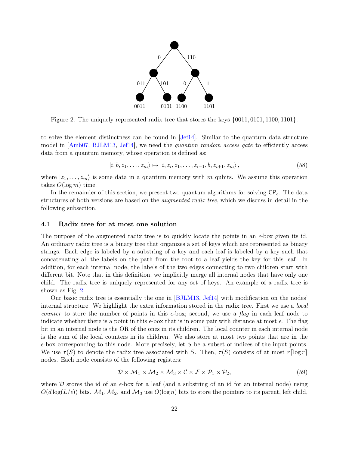

<span id="page-22-0"></span>Figure 2: The uniquely represented radix tree that stores the keys {0011, 0101, 1100, 1101}.

to solve the element distinctness can be found in [\[Jef14\]](#page-44-13). Similar to the quantum data structure model in [\[Amb07,](#page-42-3) [BJLM13,](#page-42-9) [Jef14\]](#page-44-13), we need the *quantum random access gate* to efficiently access data from a quantum memory, whose operation is defined as:

<span id="page-22-2"></span>
$$
|i, b, z_1, \dots, z_m\rangle \mapsto |i, z_i, z_1, \dots, z_{i-1}, b, z_{i+1}, z_m\rangle, \tag{58}
$$

where  $|z_1, \ldots, z_m\rangle$  is some data in a quantum memory with m qubits. We assume this operation takes  $O(\log m)$  time.

In the remainder of this section, we present two quantum algorithms for solving  $\mathsf{CP}_\epsilon$ . The data structures of both versions are based on the *augmented radix tree*, which we discuss in detail in the following subsection.

#### <span id="page-22-1"></span>4.1 Radix tree for at most one solution

The purpose of the augmented radix tree is to quickly locate the points in an  $\epsilon$ -box given its id. An ordinary radix tree is a binary tree that organizes a set of keys which are represented as binary strings. Each edge is labeled by a substring of a key and each leaf is labeled by a key such that concatenating all the labels on the path from the root to a leaf yields the key for this leaf. In addition, for each internal node, the labels of the two edges connecting to two children start with different bit. Note that in this definition, we implicitly merge all internal nodes that have only one child. The radix tree is uniquely represented for any set of keys. An example of a radix tree is shown as Fig. [2.](#page-22-0)

Our basic radix tree is essentially the one in [\[BJLM13,](#page-42-9) [Jef14\]](#page-44-13) with modification on the nodes' internal structure. We highlight the extra information stored in the radix tree. First we use a *local counter* to store the number of points in this  $\epsilon$ -box; second, we use a flag in each leaf node to indicate whether there is a point in this  $\epsilon$ -box that is in some pair with distance at most  $\epsilon$ . The flag bit in an internal node is the OR of the ones in its children. The local counter in each internal node is the sum of the local counters in its children. We also store at most two points that are in the  $\epsilon$ -box corresponding to this node. More precisely, let S be a subset of indices of the input points. We use  $\tau(S)$  to denote the radix tree associated with S. Then,  $\tau(S)$  consists of at most r[log r] nodes. Each node consists of the following registers:

$$
\mathcal{D} \times \mathcal{M}_1 \times \mathcal{M}_2 \times \mathcal{M}_3 \times \mathcal{C} \times \mathcal{F} \times \mathcal{P}_1 \times \mathcal{P}_2, \tag{59}
$$

where D stores the id of an  $\epsilon$ -box for a leaf (and a substring of an id for an internal node) using  $O(d \log(L/\epsilon))$  bits.  $\mathcal{M}_1, \mathcal{M}_2$ , and  $\mathcal{M}_3$  use  $O(\log n)$  bits to store the pointers to its parent, left child,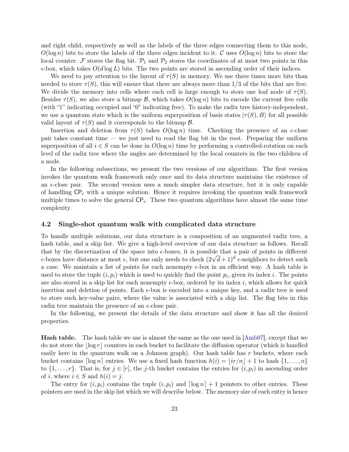and right child, respectively as well as the labels of the three edges connecting them to this node,  $O(\log n)$  bits to store the labels of the three edges incident to it. C uses  $O(\log n)$  bits to store the local counter. F stores the flag bit.  $\mathcal{P}_1$  and  $\mathcal{P}_2$  stores the coordinates of at most two points in this  $\epsilon$ -box, which takes  $O(d \log L)$  bits. The two points are stored in ascending order of their indices.

We need to pay attention to the layout of  $\tau(S)$  in memory. We use three times more bits than needed to store  $\tau(S)$ , this will ensure that there are always more than  $1/3$  of the bits that are free. We divide the memory into cells where each cell is large enough to store one leaf node of  $\tau(S)$ . Besides  $\tau(S)$ , we also store a bitmap B, which takes  $O(\log n)$  bits to encode the current free cells (with "1" indicating occupied and "0" indicating free). To make the radix tree history-independent, we use a quantum state which is the uniform superposition of basis states  $|\tau(S), B\rangle$  for all possible valid layout of  $\tau(S)$  and it corresponds to the bitmap  $\mathcal{B}$ .

Insertion and deletion from  $\tau(S)$  takes  $O(\log n)$  time. Checking the presence of an  $\epsilon$ -close pair takes constant time — we just need to read the flag bit in the root. Preparing the uniform superposition of all  $i \in S$  can be done in  $O(\log n)$  time by performing a controlled-rotation on each level of the radix tree where the angles are determined by the local counters in the two children of a node.

In the following subsections, we present the two versions of our algorithms. The first version invokes the quantum walk framework only once and its data structure maintains the existence of an  $\epsilon$ -close pair. The second version uses a much simpler data structure, but it is only capable of handling  $\mathsf{CP}_{\epsilon}$  with a unique solution. Hence it requires invoking the quantum walk framework multiple times to solve the general  $\mathsf{CP}_{\epsilon}$ . These two quantum algorithms have almost the same time complexity.

#### <span id="page-23-0"></span>4.2 Single-shot quantum walk with complicated data structure

To handle multiple solutions, our data structure is a composition of an augmented radix tree, a hash table, and a skip list. We give a high-level overview of our data structure as follows. Recall that by the discretization of the space into  $\epsilon$ -boxes, it is possible that a pair of points in different that by the discretization of the space into  $\epsilon$ -boxes, it is possible that a pair of points in different  $\epsilon$ -boxes have distance at most  $\epsilon$ , but one only needs to check  $(2\sqrt{d}+1)^d$   $\epsilon$ -neighbors to detect such a case. We maintain a list of points for each nonempty  $\epsilon$ -box in an efficient way. A hash table is used to store the tuple  $(i, p_i)$  which is used to quickly find the point  $p_i$ , given its index i. The points are also stored in a skip list for each nonempty  $\epsilon$ -box, ordered by its index i, which allows for quick insertion and deletion of points. Each  $\epsilon$ -box is encoded into a unique key, and a radix tree is used to store such key-value pairs, where the value is associated with a skip list. The flag bits in this radix tree maintain the presence of an  $\epsilon$ -close pair.

In the following, we present the details of the data structure and show it has all the desired properties.

Hash table. The hash table we use is almost the same as the one used in [\[Amb07\]](#page-42-3), except that we do not store the  $\log r$  counters in each bucket to facilitate the diffusion operator (which is handled easily here in the quantum walk on a Johnson graph). Our hash table has  $r$  buckets, where each bucket contains  $\lceil \log n \rceil$  entries. We use a fixed hash function  $h(i) = |ir/n| + 1$  to hash  $\{1, \ldots, n\}$ to  $\{1,\ldots,r\}$ . That is, for  $j \in [r]$ , the j-th bucket contains the entries for  $(i,p_i)$  in ascending order of i, where  $i \in S$  and  $h(i) = j$ .

The entry for  $(i, p_i)$  contains the tuple  $(i, p_i)$  and  $\lceil \log n \rceil + 1$  pointers to other entries. These pointers are used in the skip list which we will describe below. The memory size of each entry is hence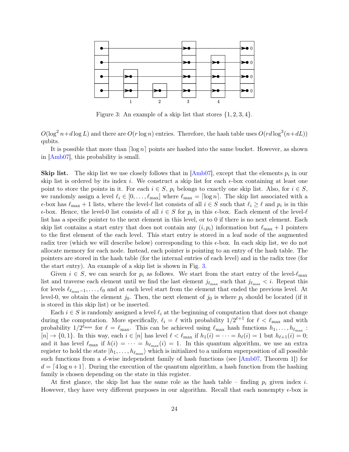

<span id="page-24-0"></span>Figure 3: An example of a skip list that stores  $\{1, 2, 3, 4\}$ .

 $O(\log^2 n+d\log L)$  and there are  $O(r\log n)$  entries. Therefore, the hash table uses  $O(r\log^3(n+dL))$ qubits.

It is possible that more than  $\lceil \log n \rceil$  points are hashed into the same bucket. However, as shown in [\[Amb07\]](#page-42-3), this probability is small.

**Skip list.** The skip list we use closely follows that in  $[Amb07]$ , except that the elements  $p_i$  in our skip list is ordered by its index i. We construct a skip list for each  $\epsilon$ -box containing at least one point to store the points in it. For each  $i \in S$ ,  $p_i$  belongs to exactly one skip list. Also, for  $i \in S$ , we randomly assign a level  $\ell_i \in [0, \ldots, \ell_{\max}]$  where  $\ell_{\max} = \lceil \log n \rceil$ . The skip list associated with a  $\epsilon$ -box has  $\ell_{\max} + 1$  lists, where the level- $\ell$  list consists of all  $i \in S$  such that  $\ell_i \geq \ell$  and  $p_i$  is in this  $\epsilon$ -box. Hence, the level-0 list consists of all  $i \in S$  for  $p_i$  in this  $\epsilon$ -box. Each element of the level- $\ell$ list has a specific pointer to the next element in this level, or to 0 if there is no next element. Each skip list contains a start entry that does not contain any  $(i, p_i)$  information but  $\ell_{\text{max}} + 1$  pointers to the first element of the each level. This start entry is stored in a leaf node of the augmented radix tree (which we will describe below) corresponding to this  $\epsilon$ -box. In each skip list, we do not allocate memory for each node. Instead, each pointer is pointing to an entry of the hash table. The pointers are stored in the hash table (for the internal entries of each level) and in the radix tree (for the start entry). An example of a skip list is shown in Fig. [3.](#page-24-0)

Given  $i \in S$ , we can search for  $p_i$  as follows. We start from the start entry of the level- $\ell_{\text{max}}$ list and traverse each element until we find the last element  $j_{\ell_{\max}}$  such that  $j_{\ell_{\max}} < i$ . Repeat this for levels  $\ell_{\ell_{\text{max}}-1}, \ldots, \ell_0$  and at each level start from the element that ended the previous level. At level-0, we obtain the element j<sub>0</sub>. Then, the next element of j<sub>0</sub> is where  $p_i$  should be located (if it is stored in this skip list) or be inserted.

Each  $i \in S$  is randomly assigned a level  $\ell_i$  at the beginning of computation that does not change during the computation. More specifically,  $\ell_i = \ell$  with probability  $1/2^{\ell+1}$  for  $\ell < \ell_{\max}$  and with probability  $1/2^{\ell_{\max}}$  for  $\ell = \ell_{\max}$ . This can be achieved using  $\ell_{\max}$  hash functions  $h_1, \ldots, h_{\ell_{\max}}$ :  $[n] \to \{0, 1\}$ . In this way, each  $i \in [n]$  has level  $\ell < \ell_{\text{max}}$  if  $h_1(i) = \cdots = h_{\ell}(i) = 1$  but  $h_{\ell+1}(i) = 0$ ; and it has level  $\ell_{\max}$  if  $h(i) = \cdots = h_{\ell_{\max}}(i) = 1$ . In this quantum algorithm, we use an extra register to hold the state  $|h_1, \ldots, h_{\ell_{\text{max}}}\rangle$  which is initialized to a uniform superposition of all possible such functions from a d-wise independent family of hash functions (see  $[Amb07, Theorem 1]$  $[Amb07, Theorem 1]$ ) for  $d = \lfloor 4 \log n + 1 \rfloor$ . During the execution of the quantum algorithm, a hash function from the hashing family is chosen depending on the state in this register.

At first glance, the skip list has the same role as the hash table – finding  $p_i$  given index i. However, they have very different purposes in our algorithm. Recall that each nonempty  $\epsilon$ -box is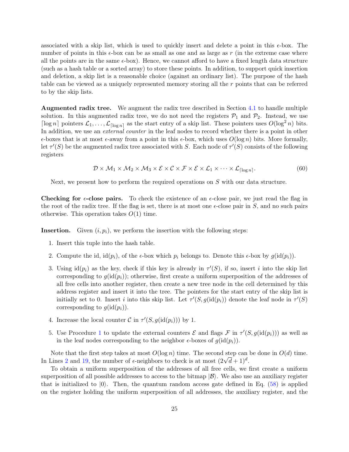associated with a skip list, which is used to quickly insert and delete a point in this  $\epsilon$ -box. The number of points in this  $\epsilon$ -box can be as small as one and as large as r (in the extreme case where all the points are in the same  $\epsilon$ -box). Hence, we cannot afford to have a fixed length data structure (such as a hash table or a sorted array) to store these points. In addition, to support quick insertion and deletion, a skip list is a reasonable choice (against an ordinary list). The purpose of the hash table can be viewed as a uniquely represented memory storing all the r points that can be referred to by the skip lists.

Augmented radix tree. We augment the radix tree described in Section [4.1](#page-22-1) to handle multiple solution. In this augmented radix tree, we do not need the registers  $P_1$  and  $P_2$ . Instead, we use  $\lceil \log n \rceil$  pointers  $\mathcal{L}_1, \ldots, \mathcal{L}_{\lceil \log n \rceil}$  as the start entry of a skip list. These pointers uses  $O(\log^2 n)$  bits. In addition, we use an *external counter* in the leaf nodes to record whether there is a point in other  $\epsilon$ -boxes that is at most  $\epsilon$ -away from a point in this  $\epsilon$ -box, which uses  $O(\log n)$  bits. More formally, let  $\tau'(S)$  be the augmented radix tree associated with S. Each node of  $\tau'(S)$  consists of the following registers

$$
\mathcal{D} \times \mathcal{M}_1 \times \mathcal{M}_2 \times \mathcal{M}_3 \times \mathcal{E} \times \mathcal{C} \times \mathcal{F} \times \mathcal{E} \times \mathcal{L}_1 \times \cdots \times \mathcal{L}_{\lceil \log n \rceil}.
$$
 (60)

Next, we present how to perform the required operations on S with our data structure.

**Checking for**  $\epsilon$ **-close pairs.** To check the existence of an  $\epsilon$ -close pair, we just read the flag in the root of the radix tree. If the flag is set, there is at most one  $\epsilon$ -close pair in S, and no such pairs otherwise. This operation takes  $O(1)$  time.

**Insertion.** Given  $(i, p_i)$ , we perform the insertion with the following steps:

- 1. Insert this tuple into the hash table.
- 2. Compute the id,  $id(p_i)$ , of the  $\epsilon$ -box which  $p_i$  belongs to. Denote this  $\epsilon$ -box by  $q(id(p_i))$ .
- 3. Using  $id(p_i)$  as the key, check if this key is already in  $\tau'(S)$ , if so, insert i into the skip list corresponding to  $g(\text{id}(p_i))$ ; otherwise, first create a uniform superposition of the addresses of all free cells into another register, then create a new tree node in the cell determined by this address register and insert it into the tree. The pointers for the start entry of the skip list is initially set to 0. Insert *i* into this skip list. Let  $\tau'(S, g(\text{id}(p_i))$  denote the leaf node in  $\tau'(S)$ corresponding to  $q(\text{id}(p_i))$ .
- 4. Increase the local counter  $\mathcal C$  in  $\tau'(S, g(\text{id}(p_i)))$  by 1.
- 5. Use Procedure [1](#page-26-0) to update the external counters  $\mathcal E$  and flags  $\mathcal F$  in  $\tau'(S,g(\text{id}(p_i)))$  as well as in the leaf nodes corresponding to the neighbor  $\epsilon$ -boxes of  $g(id(p_i))$ .

Note that the first step takes at most  $O(\log n)$  time. The second step can be done in  $O(d)$  time. In Lines [2](#page-26-1) and [19,](#page-26-2) the number of  $\epsilon$ -neighbors to check is at most  $(2\sqrt{d}+1)^d$ .

To obtain a uniform superposition of the addresses of all free cells, we first create a uniform superposition of all possible addresses to access to the bitmap  $|\mathcal{B}\rangle$ . We also use an auxiliary register that is initialized to  $|0\rangle$ . Then, the quantum random access gate defined in Eq. [\(58\)](#page-22-2) is applied on the register holding the uniform superposition of all addresses, the auxiliary register, and the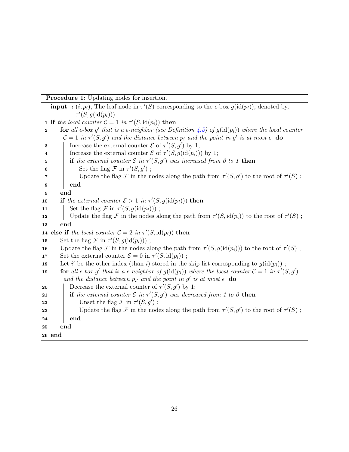Procedure 1: Updating nodes for insertion.

<span id="page-26-2"></span><span id="page-26-1"></span><span id="page-26-0"></span>**input** :  $(i, p_i)$ , The leaf node in  $\tau'(S)$  corresponding to the  $\epsilon$ -box  $g(\text{id}(p_i))$ , denoted by,  $\tau'(S,g(\text{id}(p_i))).$ **1** if the local counter  $C = 1$  in  $\tau'(S, \text{id}(p_i))$  then **2 for** all  $\epsilon$ -box g' that is a  $\epsilon$ -neighbor (see Definition [4.5\)](#page-21-1) of  $g(\text{id}(p_i))$  where the local counter  $\mathcal{C} = 1$  in  $\tau'(S,g')$  and the distance between  $p_i$  and the point in g' is at most  $\epsilon$  do **3** Increase the external counter  $\mathcal{E}$  of  $\tau'(S,g')$  by 1; 4 Increase the external counter  $\mathcal E$  of  $\tau'(S, g(\text{id}(p_i)))$  by 1; 5 if the external counter  $\mathcal E$  in  $\tau'(S,g')$  was increased from 0 to 1 then 6 | | Set the flag  $\mathcal F$  in  $\tau'(S,g')$ ;  $\tau$  | | Update the flag F in the nodes along the path from  $\tau'(S,g')$  to the root of  $\tau'(S)$ ; 8 | end 9 end 10 if the external counter  $\mathcal{E} > 1$  in  $\tau'(S, g(\text{id}(p_i)))$  then 11 | Set the flag  $\mathcal F$  in  $\tau'(S, g(\text{id}(p_i)))$ ; 12 | Update the flag F in the nodes along the path from  $\tau'(S, id(p_i))$  to the root of  $\tau'(S)$ ; 13 end 14 else if the local counter  $C = 2$  in  $\tau'(S, \text{id}(p_i))$  then 15 Set the flag  $\mathcal F$  in  $\tau'(S, g(\text{id}(p_i)))$ ; 16 Update the flag F in the nodes along the path from  $\tau'(S, g(\text{id}(p_i)))$  to the root of  $\tau'(S)$ ; 17 Set the external counter  $\mathcal{E} = 0$  in  $\tau'(S, \text{id}(p_i))$ ; 18 Let i' be the other index (than i) stored in the skip list corresponding to  $g(id(p_i))$ ; 19 **for** all  $\epsilon$ -box g' that is a  $\epsilon$ -neighbor of  $g(\text{id}(p_i))$  where the local counter  $\mathcal{C} = 1$  in  $\tau'(S,g')$ and the distance between  $p_{i'}$  and the point in  $g'$  is at most  $\epsilon$  do **20** Decrease the external counter of  $\tau'(S, g')$  by 1; 21 if the external counter  $\mathcal E$  in  $\tau'(S,g')$  was decreased from 1 to 0 then 22 | | Unset the flag  $\mathcal F$  in  $\tau'(S,g')$ ; 23 | | Update the flag F in the nodes along the path from  $\tau'(S,g')$  to the root of  $\tau'(S)$ ;  $24$  end 25 end 26 end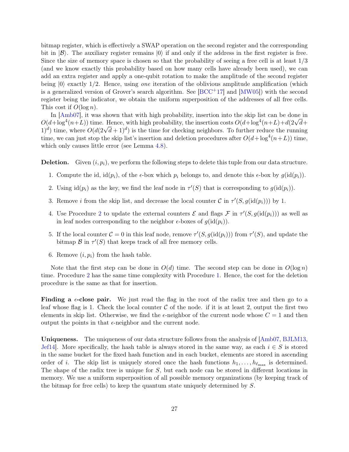bitmap register, which is effectively a SWAP operation on the second register and the corresponding bit in  $|\mathcal{B}\rangle$ . The auxiliary register remains  $|0\rangle$  if and only if the address in the first register is free. Since the size of memory space is chosen so that the probability of seeing a free cell is at least 1/3 (and we know exactly this probability based on how many cells have already been used), we can add an extra register and apply a one-qubit rotation to make the amplitude of the second register being  $|0\rangle$  exactly 1/2. Hence, using one iteration of the oblivious amplitude amplification (which is a generalized version of Grover's search algorithm. See  $[BCC^+17]$  $[BCC^+17]$  and  $[MW05]$ ) with the second register being the indicator, we obtain the uniform superposition of the addresses of all free cells. This cost if  $O(\log n)$ .

In [\[Amb07\]](#page-42-3), it was shown that with high probability, insertion into the skip list can be done in In  $\left[{\rm Ambo}/\right]$ , it was shown that with high probability, the insertion into the skip list can be done in  $O(d + \log^4(n+L))$  time. Hence, with high probability, the insertion costs  $O(d + \log^4(n+L) + d(2\sqrt{d} +$  $O(d + \log^2(n+L))$  time. Hence, with high probability, the insertion costs  $O(d + \log^2(n+L) + d(2\sqrt{d} + 1)^d)$  is the time for checking neighbors. To further reduce the running time, we can just stop the skip list's insertion and deletion procedures after  $O(d + \log^4(n+L))$  time, which only causes little error (see Lemma [4.8\)](#page-29-0).

**Deletion.** Given  $(i, p_i)$ , we perform the following steps to delete this tuple from our data structure.

- 1. Compute the id,  $id(p_i)$ , of the  $\epsilon$ -box which  $p_i$  belongs to, and denote this  $\epsilon$ -box by  $g(id(p_i))$ .
- 2. Using  $\text{id}(p_i)$  as the key, we find the leaf node in  $\tau'(S)$  that is corresponding to  $g(\text{id}(p_i))$ .
- 3. Remove *i* from the skip list, and decrease the local counter  $\mathcal{C}$  in  $\tau'(S, g(\text{id}(p_i)))$  by 1.
- 4. Use Procedure [2](#page-28-0) to update the external counters  $\mathcal E$  and flags  $\mathcal F$  in  $\tau'(S,g(\text{id}(p_i)))$  as well as in leaf nodes corresponding to the neighbor  $\epsilon$ -boxes of  $g(\text{id}(p_i))$ .
- 5. If the local counter  $C = 0$  in this leaf node, remove  $\tau'(S, g(\text{id}(p_i)))$  from  $\tau'(S)$ , and update the bitmap  $\mathcal B$  in  $\tau'(S)$  that keeps track of all free memory cells.
- 6. Remove  $(i, p_i)$  from the hash table.

Note that the first step can be done in  $O(d)$  time. The second step can be done in  $O(\log n)$ time. Procedure [2](#page-28-0) has the same time complexity with Procedure [1.](#page-26-0) Hence, the cost for the deletion procedure is the same as that for insertion.

**Finding a**  $\epsilon$ **-close pair.** We just read the flag in the root of the radix tree and then go to a leaf whose flag is 1. Check the local counter  $C$  of the node. if it is at least 2, output the first two elements in skip list. Otherwise, we find the  $\epsilon$ -neighbor of the current node whose  $C = 1$  and then output the points in that  $\epsilon$ -neighbor and the current node.

Uniqueness. The uniqueness of our data structure follows from the analysis of [\[Amb07,](#page-42-3) [BJLM13,](#page-42-9) [Jef14\]](#page-44-13). More specifically, the hash table is always stored in the same way, as each  $i \in S$  is stored in the same bucket for the fixed hash function and in each bucket, elements are stored in ascending order of i. The skip list is uniquely stored once the hash functions  $h_1, \ldots, h_{\ell_{\text{max}}}$  is determined. The shape of the radix tree is unique for S, but each node can be stored in different locations in memory. We use a uniform superposition of all possible memory organizations (by keeping track of the bitmap for free cells) to keep the quantum state uniquely determined by S.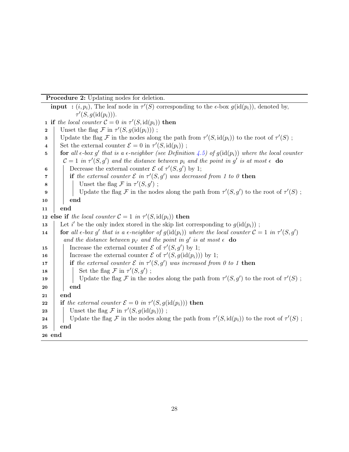Procedure 2: Updating nodes for deletion.

<span id="page-28-0"></span>**input** :  $(i, p_i)$ , The leaf node in  $\tau'(S)$  corresponding to the  $\epsilon$ -box  $g(\text{id}(p_i))$ , denoted by,  $\tau'(S,g(\text{id}(p_i))).$ **1** if the local counter  $C = 0$  in  $\tau'(S, \text{id}(p_i))$  then 2 | Unset the flag  $\mathcal F$  in  $\tau'(S, g(\text{id}(p_i)))$ ; 3 Update the flag F in the nodes along the path from  $\tau'(S, \text{id}(p_i))$  to the root of  $\tau'(S)$ ; 4 Set the external counter  $\mathcal{E} = 0$  in  $\tau'(S, \text{id}(p_i))$ ; 5 **for** all  $\epsilon$ -box g' that is a  $\epsilon$ -neighbor (see Definition [4.5\)](#page-21-1) of  $g(\text{id}(p_i))$  where the local counter  $\mathcal{C} = 1$  in  $\tau'(S,g')$  and the distance between  $p_i$  and the point in g' is at most  $\epsilon$  do 6 Decrease the external counter  $\mathcal E$  of  $\tau'(S,g')$  by 1; **7** if the external counter  $\mathcal{E}$  in  $\tau'(S,g')$  was decreased from 1 to 0 then  $\mathbf{s}$  | | Unset the flag F in  $\tau'(S,g')$ ; 9 | | Update the flag F in the nodes along the path from  $\tau'(S,g')$  to the root of  $\tau'(S)$ ; 10 end  $11$  end 12 else if the local counter  $C = 1$  in  $\tau'(S, \text{id}(p_i))$  then 13 Let i' be the only index stored in the skip list corresponding to  $g(\text{id}(p_i))$ ; 14 **for** all  $\epsilon$ -box g' that is a  $\epsilon$ -neighbor of  $g(\text{id}(p_i))$  where the local counter  $\mathcal{C} = 1$  in  $\tau'(S,g')$ and the distance between  $p_{i'}$  and the point in  $g'$  is at most  $\epsilon$  do 15 | Increase the external counter  $\mathcal E$  of  $\tau'(S,g')$  by 1; 16 | Increase the external counter  $\mathcal E$  of  $\tau'(S, g(\text{id}(p_i)))$  by 1; 17 if the external counter  $\mathcal E$  in  $\tau'(S,g')$  was increased from 0 to 1 then 18 | | Set the flag  $\mathcal F$  in  $\tau'(S,g')$ ; 19 | Update the flag F in the nodes along the path from  $\tau'(S,g')$  to the root of  $\tau'(S)$ ;  $20$  end  $21$  end 22 if the external counter  $\mathcal{E} = 0$  in  $\tau'(S, g(\text{id}(p_i)))$  then **23** Unset the flag  $\mathcal{F}$  in  $\tau'(S, g(\text{id}(p_i)))$ ; 24 Update the flag F in the nodes along the path from  $\tau'(S, id(p_i))$  to the root of  $\tau'(S)$ ; 25 end 26 end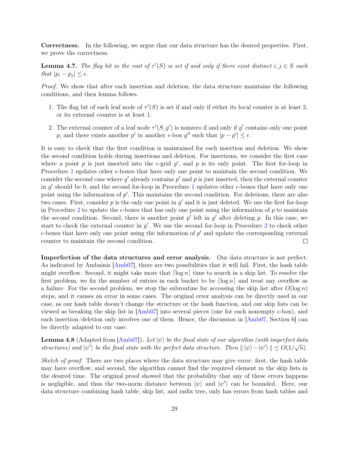Correctness. In the following, we argue that our data structure has the desired properties. First, we prove the correctness.

**Lemma 4.7.** The flag bit in the root of  $\tau'(S)$  is set if and only if there exist distinct  $i, j \in S$  such that  $|p_i - p_j| \leq \epsilon$ .

Proof. We show that after each insertion and deletion, the data structure maintains the following conditions, and then lemma follows.

- 1. The flag bit of each leaf node of  $\tau'(S)$  is set if and only if either its local counter is at least 2, or its external counter is at least 1.
- 2. The external counter of a leaf node  $\tau'(S, g')$  is nonzero if and only if g' contains only one point p, and there exists another p' in another  $\epsilon$ -box g'' such that  $|p - p'| \leq \epsilon$ .

It is easy to check that the first condition is maintained for each insertion and deletion. We show the second condition holds during insertions and deletion. For insertions, we consider the first case where a point p is just inserted into the  $\epsilon$ -grid  $g'$ , and p is its only point. The first for-loop in Procedure [1](#page-26-0) updates other  $\epsilon$ -boxes that have only one point to maintain the second condition. We consider the second case where  $g'$  already contains  $p'$  and  $p$  is just inserted, then the external counter in  $g'$  should be 0, and the second for-loop in Procedure [1](#page-26-0) updates other  $\epsilon$ -boxes that have only one point using the information of  $p'$ . This maintains the second condition. For deletions, there are also two cases. First, consider  $p$  is the only one point in  $g'$  and it is just deleted. We use the first for-loop in Procedure [2](#page-28-0) to update the  $\epsilon$ -boxes that has only one point using the information of p to maintain the second condition. Second, there is another point  $p'$  left in  $g'$  after deleting p. In this case, we start to check the external counter in  $g'$ . We use the second for-loop in Procedure [2](#page-28-0) to check other  $\epsilon$ -boxes that have only one point using the information of  $p'$  and update the corresponding external counter to maintain the second condition.  $\Box$ 

Imperfection of the data structures and error analysis. Our data structure is not perfect. As indicated by Ambainis [\[Amb07\]](#page-42-3), there are two possibilities that it will fail. First, the hash table might overflow. Second, it might take more that  $\lceil \log n \rceil$  time to search in a skip list. To resolve the first problem, we fix the number of entries in each bucket to be  $\lceil \log n \rceil$  and treat any overflow as a failure. For the second problem, we stop the subroutine for accessing the skip list after  $O(\log n)$ steps, and it causes an error in some cases. The original error analysis can be directly used in our case, as our hash table doesn't change the structure or the hash function, and our skip lists can be viewed as breaking the skip list in  $\vert$ Amb07 into several pieces (one for each nonempty  $\epsilon$ -box), and each insertion/deletion only involves one of them. Hence, the discussion in [\[Amb07,](#page-42-3) Section 6] can be directly adapted to our case:

<span id="page-29-0"></span>**Lemma 4.8** (Adapted from  $[Amb07]$ ). Let  $|\psi\rangle$  be the final state of our algorithm (with imperfect data structures) and  $|\psi'\rangle$  be the final state with the perfect data structure. Then  $||\psi\rangle - |\psi'\rangle || \leq O(1/\sqrt{n})$ .

Sketch of proof. There are two places where the data structure may give error: first, the hash table may have overflow, and second, the algorithm cannot find the required element in the skip lists in the desired time. The original proof showed that the probability that any of these errors happens is negligible, and thus the two-norm distance between  $|\psi\rangle$  and  $|\psi'\rangle$  can be bounded. Here, our data structure combining hash table, skip list, and radix tree, only has errors from hash tables and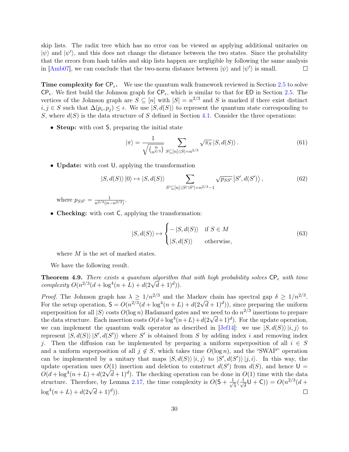skip lists. The radix tree which has no error can be viewed as applying additional unitaries on  $|\psi\rangle$  and  $|\psi'\rangle$ , and this does not change the distance between the two states. Since the probability that the errors from hash tables and skip lists happen are negligible by following the same analysis in [\[Amb07\]](#page-42-3), we can conclude that the two-norm distance between  $|\psi\rangle$  and  $|\psi'\rangle$  is small.  $\Box$ 

**Time complexity for CP<sub>** $\epsilon$ **</sub>.** We use the quantum walk framework reviewed in Section [2.5](#page-9-0) to solve  $CP_{\epsilon}$ . We first build the Johnson graph for  $CP_{\epsilon}$ , which is similar to that for ED in Section [2.5.](#page-9-0) The vertices of the Johnson graph are  $S \subseteq [n]$  with  $|S| = n^{2/3}$  and S is marked if there exist distinct  $i, j \in S$  such that  $\Delta(p_i, p_j) \leq \epsilon$ . We use  $|S, d(S)\rangle$  to represent the quantum state corresponding to S, where  $d(S)$  is the data structure of S defined in Section [4.1.](#page-22-1) Consider the three operations:

• Steup: with cost S, preparing the initial state

$$
|\pi\rangle = \frac{1}{\sqrt{\binom{n}{n^{2/3}}}} \sum_{S \subseteq [n]: |S| = n^{2/3}} \sqrt{\pi_S} |S, d(S)\rangle.
$$
 (61)

• **Update:** with cost U, applying the transformation

$$
|S,d(S)\rangle|0\rangle \mapsto |S,d(S)\rangle \sum_{S' \subseteq [n]:|S \cap S'| = n^{2/3}-1} \sqrt{p_{SS'}} |S',d(S')\rangle, \qquad (62)
$$

where  $p_{SS'} = \frac{1}{n^{2/3}(n-1)}$  $\frac{1}{n^{2/3}(n-n^{2/3})}$ .

• Checking: with cost C, applying the transformation:

$$
|S, d(S)\rangle \mapsto \begin{cases} -|S, d(S)\rangle & \text{if } S \in M \\ |S, d(S)\rangle & \text{otherwise,} \end{cases}
$$
(63)

where  $M$  is the set of marked states.

We have the following result.

<span id="page-30-0"></span>**Theorem 4.9.** There exists a quantum algorithm that with high probability solves  $\mathsf{CP}_{\epsilon}$  with time **Theorem 4.9.** There exists a quantum algorithm is complexity  $O(n^{2/3}(d + \log^4(n + L) + d(2\sqrt{d} + 1)^d))$ .

*Proof.* The Johnson graph has  $\lambda \geq 1/n^{2/3}$  and the Markov chain has spectral gap  $\delta \geq 1/n^{2/3}$ . *Froof.* The Johnson graph has  $\lambda \geq 1/n^{-1/3}$  and the Markov chain has spectral gap  $\delta \geq 1/n^{-1/3}$ .<br>For the setup operation,  $S = O(n^{2/3}(d + \log^4(n + L) + d(2\sqrt{d} + 1)^d))$ , since preparing the uniform superposition for all  $|S\rangle$  costs  $O(\log n)$  Hadamard gates and we need to do  $n^{2/3}$  insertions to prepare superposition for all  $|S\rangle$  costs  $O(\log n)$  Hadamard gates and we need to do  $n^{-\gamma}$  insertions to prepare<br>the data structure. Each insertion costs  $O(d + \log^4(n+L) + d(2\sqrt{d}+1)^d)$ . For the update operation, we can implement the quantum walk operator as described in [\[Jef14\]](#page-44-13): we use  $|S, d(S)\rangle |i, j\rangle$  to represent  $|S, d(S) \rangle |S', d(S')\rangle$  where S' is obtained from S by adding index i and removing index j. Then the diffusion can be implemented by preparing a uniform superposition of all  $i \in S$ and a uniform superposition of all  $j \notin S$ , which takes time  $O(\log n)$ , and the "SWAP" operation can be implemented by a unitary that maps  $|S, d(S)\rangle |i, j\rangle$  to  $|S', d(S')\rangle |j, i\rangle$ . In this way, the update operation uses  $O(1)$  insertion and deletion to construct  $d(S')$  from  $d(S)$ , and hence  $U =$ update operation uses  $O(1)$  insertion and deletion to construct  $a(S)$  from  $a(S)$ , and nence  $O = O(d + \log^4(n + L) + d(2\sqrt{d} + 1)^d)$ . The checking operation can be done in  $O(1)$  time with the data structure. Therefore, by Lemma [2.17,](#page-9-1) the time complexity is  $O(5 + \frac{1}{\sqrt{2}})$  $\frac{1}{\overline{\lambda}}(\frac{1}{\sqrt{\lambda}})$  $\frac{1}{\delta}$ U + C)) =  $O(n^{2/3}(d +$  $\log^4(n+L) + d(2\sqrt{d}+1)^d).$  $\Box$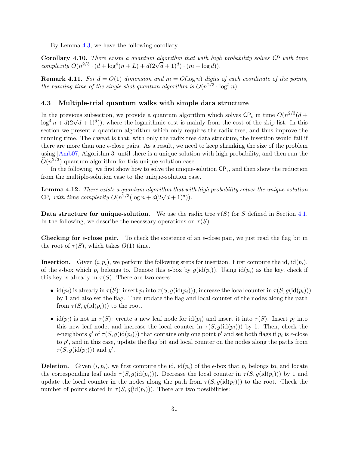By Lemma [4.3,](#page-20-0) we have the following corollary.

Corollary 4.10. There exists a quantum algorithm that with high probability solves CP with time **Coronary 4.10.** There exists a quantum algorithm that with high complexity  $O(n^{2/3} \cdot (d + \log^4(n+L) + d(2\sqrt{d}+1)^d) \cdot (m + \log d))$ .

**Remark 4.11.** For  $d = O(1)$  dimension and  $m = O(\log n)$  digits of each coordinate of the points, the running time of the single-shot quantum algorithm is  $O(n^{2/3} \cdot \log^5 n)$ .

### <span id="page-31-0"></span>4.3 Multiple-trial quantum walks with simple data structure

In the previous subsection, we provide a quantum algorithm which solves  $\mathsf{CP}_{\epsilon}$  in time  $O(n^{2/3}(d +$ In the previous subsection, we provide a quantum algorithm which solves  $\mathcal{C}P_{\epsilon}$  in time  $O(n^{-\epsilon}) (a + \log^4 n + d(2\sqrt{d} + 1)^d)$ , where the logarithmic cost is mainly from the cost of the skip list. In this section we present a quantum algorithm which only requires the radix tree, and thus improve the running time. The caveat is that, with only the radix tree data structure, the insertion would fail if there are more than one  $\epsilon$ -close pairs. As a result, we need to keep shrinking the size of the problem using [\[Amb07,](#page-42-3) Algorithm 3] until there is a unique solution with high probability, and then run the  $\widetilde{O}(n^{2/3})$  quantum algorithm for this unique-solution case.

In the following, we first show how to solve the unique-solution  $\mathsf{CP}_{\epsilon}$ , and then show the reduction from the multiple-solution case to the unique-solution case.

<span id="page-31-1"></span>Lemma 4.12. There exists a quantum algorithm that with high probability solves the unique-solution **Lemma 4.12.** There exists a quantum algorithm that will<br>CP<sub>e</sub> with time complexity  $O(n^{2/3}(\log n + d(2\sqrt{d}+1)^d)).$ 

Data structure for unique-solution. We use the radix tree  $\tau(S)$  for S defined in Section [4.1.](#page-22-1) In the following, we describe the necessary operations on  $\tau(S)$ .

**Checking for**  $\epsilon$ **-close pair.** To check the existence of an  $\epsilon$ -close pair, we just read the flag bit in the root of  $\tau(S)$ , which takes  $O(1)$  time.

**Insertion.** Given  $(i, p_i)$ , we perform the following steps for insertion. First compute the id,  $id(p_i)$ , of the  $\epsilon$ -box which  $p_i$  belongs to. Denote this  $\epsilon$ -box by  $g(id(p_i))$ . Using  $id(p_i)$  as the key, check if this key is already in  $\tau(S)$ . There are two cases:

- id $(p_i)$  is already in  $\tau(S)$ : insert  $p_i$  into  $\tau(S, g(\text{id}(p_i)))$ , increase the local counter in  $\tau(S, g(\text{id}(p_i)))$ by 1 and also set the flag. Then update the flag and local counter of the nodes along the path from  $\tau(S, g(\text{id}(p_i)))$  to the root.
- id $(p_i)$  is not in  $\tau(S)$ : create a new leaf node for id $(p_i)$  and insert it into  $\tau(S)$ . Insert  $p_i$  into this new leaf node, and increase the local counter in  $\tau(S, g(\text{id}(p_i)))$  by 1. Then, check the  $\epsilon$ -neighbors g' of  $\tau(S, g(\text{id}(p_i)))$  that contains only one point  $p'$  and set both flags if  $p_i$  is  $\epsilon$ -close to  $p'$ , and in this case, update the flag bit and local counter on the nodes along the paths from  $\tau(S,g(\text{id}(p_i)))$  and g'.

**Deletion.** Given  $(i, p_i)$ , we first compute the id,  $id(p_i)$  of the  $\epsilon$ -box that  $p_i$  belongs to, and locate the corresponding leaf node  $\tau(S, g(\text{id}(p_i)))$ . Decrease the local counter in  $\tau(S, g(\text{id}(p_i)))$  by 1 and update the local counter in the nodes along the path from  $\tau(S, q(\text{id}(p_i)))$  to the root. Check the number of points stored in  $\tau(S, q(\text{id}(p_i)))$ . There are two possibilities: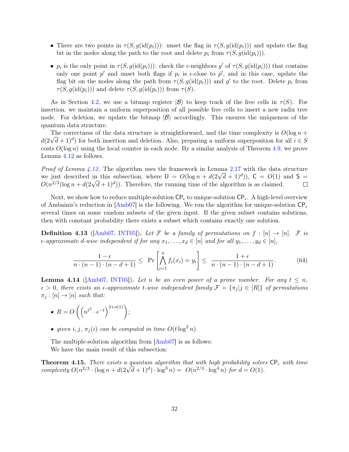- There are two points in  $\tau(S, g(\text{id}(p_i)))$ : unset the flag in  $\tau(S, g(\text{id}(p_i)))$  and update the flag bit in the nodes along the path to the root and delete  $p_i$  from  $\tau(S, g(\text{id}(p_i)))$ .
- $p_i$  is the only point in  $\tau(S, g(\text{id}(p_i)))$ : check the  $\epsilon$ -neighbors g' of  $\tau(S, g(\text{id}(p_i)))$  that contains only one point  $p'$  and unset both flags if  $p_i$  is  $\epsilon$ -close to  $p'$ , and in this case, update the flag bit on the nodes along the path from  $\tau(S, g(\text{id}(p_i)))$  and g' to the root. Delete  $p_i$  from  $\tau(S, g(\text{id}(p_i)))$  and delete  $\tau(S, g(\text{id}(p_i)))$  from  $\tau(S)$ .

As in Section [4.2,](#page-23-0) we use a bitmap register  $|\mathcal{B}\rangle$  to keep track of the free cells in  $\tau(S)$ . For insertion, we maintain a uniform superposition of all possible free cells to insert a new radix tree node. For deletion, we update the bitmap  $|\mathcal{B}\rangle$  accordingly. This ensures the uniqueness of the quantum data structure.

The correctness of the data structure is straightforward, and the time complexity is  $O(\log n +$ The correctness of the data structure is straightforward, and the time complexity is  $O(\log n + d(2\sqrt{d}+1)^d)$  for both insertion and deletion. Also, preparing a uniform superposition for all  $i \in S$ costs  $O(\log n)$  using the local counter in each node. By a similar analysis of Theorem [4.9,](#page-30-0) we prove Lemma [4.12](#page-31-1) as follows.

*Proof of Lemma [4.12.](#page-31-1)* The algorithm uses the framework in Lemma [2.17](#page-9-1) with the data structure *Proof of Lemma 4.12.* The algorithm uses the framework in Lemma 2.17 with the data structure we just described in this subsection, where  $U = O(\log n + d(2\sqrt{d} + 1)^d)$ ,  $C = O(1)$  and  $S =$ We just described in this subsection, where  $0 = O(\log n + a(2\sqrt{d} + 1)^{2})$ ,  $C = O(1)$  and  $O(n^{2/3}(\log n + d(2\sqrt{d} + 1)^{d}))$ . Therefore, the running time of the algorithm is as claimed.  $\Box$ 

Next, we show how to reduce multiple-solution  $\mathsf{CP}_{\epsilon}$  to unique-solution  $\mathsf{CP}_{\epsilon}$ . A high-level overview of Ambainis's reduction in  $\text{Amb07}$  is the following. We run the algorithm for unique-solution  $\text{CP}_{\epsilon}$ several times on some random subsets of the given input. If the given subset contains solutions, then with constant probability there exists a subset which contains exactly one solution.

**Definition 4.13** ([\[Amb07,](#page-42-3) [INT05\]](#page-44-15)). Let F be a family of permutations on  $f : [n] \rightarrow [n]$ . F is  $\epsilon$ -approximate d-wise independent if for any  $x_1, \ldots, x_d \in [n]$  and for all  $y_1, \ldots, y_d \in [n]$ ,

$$
\frac{1-\epsilon}{n\cdot(n-1)\cdot(n-d+1)} \le \Pr\left[\bigwedge_{i=1}^n f_i(x_i) = y_i\right] \le \frac{1+\epsilon}{n\cdot(n-1)\cdot(n-d+1)}.\tag{64}
$$

<span id="page-32-0"></span>**Lemma 4.14** ( $\text{Amb07, INT05}$ ). Let n be an even power of a prime number. For any  $t \leq n$ ,  $\epsilon > 0$ , there exists an  $\epsilon$ -approximate t-wise independent family  $\mathcal{F} = {\pi_i | j \in [R]}$  of permutations  $\pi_i : [n] \to [n]$  such that:

• 
$$
R = O\left(\left(n^{t^2} \cdot \epsilon^{-t}\right)^{3+o(1)}\right);
$$

• given i, j,  $\pi_i(i)$  can be computed in time  $O(t \log^2 n)$ .

The multiple-solution algorithm from  $[Amb07]$  is as follows: We have the main result of this subsection:

<span id="page-32-1"></span>**Theorem 4.15.** There exists a quantum algorithm that with high probability solves  $\mathsf{CP}_{\epsilon}$  with time **Theorem 4.15.** There exists a quantum algorithm that with high probability solve<br>complexity  $O(n^{2/3} \cdot (\log n + d(2\sqrt{d}+1)^d) \cdot \log^3 n) = O(n^{2/3} \cdot \log^4 n)$  for  $d = O(1)$ .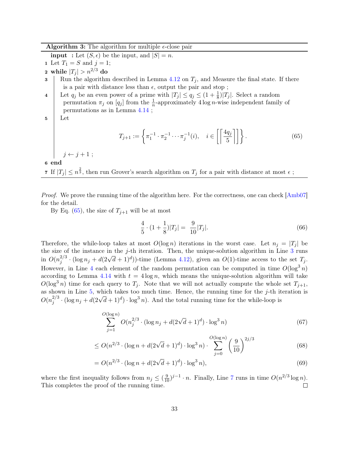### **Algorithm 3:** The algorithm for multiple  $\epsilon$ -close pair

**input** : Let  $(S, \epsilon)$  be the input, and  $|S| = n$ .

- 1 Let  $T_1 = S$  and  $j = 1$ ;
- 2 while  $|T_i| > n^{2/3}$  do
- <span id="page-33-1"></span>3 Run the algorithm described in Lemma [4.12](#page-31-1) on  $T_j$ , and Measure the final state. If there is a pair with distance less than  $\epsilon$ , output the pair and stop;

<span id="page-33-2"></span>4 Let  $q_j$  be an even power of a prime with  $|T_j| \le q_j \le (1 + \frac{1}{8})|T_j|$ . Select a random permutation  $\pi_j$  on  $[q_j]$  from the  $\frac{1}{n}$ -approximately 4 log *n*-wise independent family of permutations as in Lemma [4.14](#page-32-0) ;

 $5 \mid$  Let

<span id="page-33-0"></span>
$$
T_{j+1} := \left\{ \pi_1^{-1} \cdot \pi_2^{-1} \cdots \pi_j^{-1}(i), \quad i \in \left[ \left\lceil \frac{4q_j}{5} \right\rceil \right] \right\}.
$$
 (65)

 $j \leftarrow j + 1$ ;

6 end

<span id="page-33-3"></span>7 If  $|T_j| \leq n^{\frac{2}{3}}$ , then run Grover's search algorithm on  $T_j$  for a pair with distance at most  $\epsilon$ ;

Proof. We prove the running time of the algorithm here. For the correctness, one can check [\[Amb07\]](#page-42-3) for the detail.

By Eq. [\(65\)](#page-33-0), the size of  $T_{j+1}$  will be at most

$$
\frac{4}{5} \cdot (1 + \frac{1}{8})|T_j| = \frac{9}{10}|T_j|.
$$
\n(66)

Therefore, the while-loop takes at most  $O(\log n)$  iterations in the worst case. Let  $n_i = |T_i|$  be the size of the instance in the j-th iteration. Then, the unique-solution algorithm in Line [3](#page-33-1) runs in  $O(n_i^{2/3})$ <sup>2/3</sup> · (log  $n_j + d(2\sqrt{d} + 1)^d$ ))-time (Lemma [4.12\)](#page-31-1), given an  $O(1)$ -time access to the set  $T_j$ . However, in Line [4](#page-33-2) each element of the random permutation can be computed in time  $O(\log^3 n)$ according to Lemma [4.14](#page-32-0) with  $t = 4 \log n$ , which means the unique-solution algorithm will take  $O(\log^3 n)$  time for each query to  $T_i$ . Note that we will not actually compute the whole set  $T_{i+1}$ , as shown in Line  $5$ , which takes too much time. Hence, the running time for the j-th iteration is  $O(n_i^{2/3})$  $j^{2/3}$  · (log  $n_j + d(2\sqrt{d}+1)^d$ ) · log<sup>3</sup> n). And the total running time for the while-loop is

$$
\sum_{j=1}^{O(\log n)} O(n_j^{2/3} \cdot (\log n_j + d(2\sqrt{d} + 1)^d) \cdot \log^3 n)
$$
\n(67)

$$
\leq O(n^{2/3} \cdot (\log n + d(2\sqrt{d} + 1)^d) \cdot \log^3 n) \cdot \sum_{j=0}^{O(\log n)} \left(\frac{9}{10}\right)^{2j/3} \tag{68}
$$

$$
= O(n^{2/3} \cdot (\log n + d(2\sqrt{d} + 1)^d) \cdot \log^3 n), \tag{69}
$$

where the first inequality follows from  $n_j \leq (\frac{9}{10})^{j-1} \cdot n$ . Finally, Line [7](#page-33-3) runs in time  $O(n^{2/3} \log n)$ . This completes the proof of the running time.  $\Box$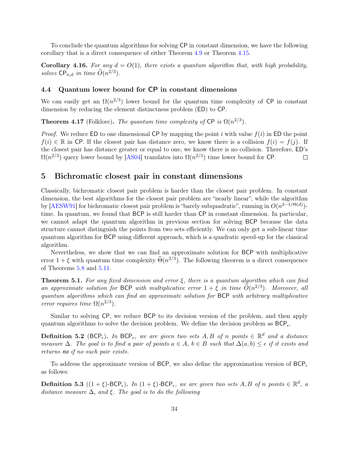To conclude the quantum algorithms for solving CP in constant dimension, we have the following corollary that is a direct consequence of either Theorem [4.9](#page-30-0) or Theorem [4.15.](#page-32-1)

<span id="page-34-1"></span>**Corollary 4.16.** For any  $d = O(1)$ , there exists a quantum algorithm that, with high probability, solves  $\mathsf{CP}_{n,d}$  in time  $\widetilde{O}(n^{2/3})$ .

### <span id="page-34-2"></span>4.4 Quantum lower bound for CP in constant dimensions

We can easily get an  $\Omega(n^{2/3})$  lower bound for the quantum time complexity of CP in constant dimension by reducing the element distinctness problem (ED) to CP.

<span id="page-34-0"></span>**Theorem 4.17** (Folklore). The quantum time complexity of  $\mathsf{CP}$  is  $\Omega(n^{2/3})$ .

*Proof.* We reduce ED to one dimensional CP by mapping the point i with value  $f(i)$  in ED the point  $f(i) \in \mathbb{R}$  in CP. If the closest pair has distance zero, we know there is a collision  $f(i) = f(j)$ . If the closest pair has distance greater or equal to one, we know there is no collision. Therefore, ED's  $\Omega(n^{2/3})$  query lower bound by [\[AS04\]](#page-42-2) translates into  $\Omega(n^{2/3})$  time lower bound for CP.  $\Box$ 

### 5 Bichromatic closest pair in constant dimensions

Classically, bichromatic closest pair problem is harder than the closest pair problem. In constant dimension, the best algorithms for the closest pair problem are "nearly linear", while the algorithm by [\[AESW91\]](#page-42-6) for bichromatic closest pair problem is "barely subquadratic", running in  $O(n^{2-1/\Theta(d)})$ time. In quantum, we found that BCP is still harder than CP in constant dimension. In particular, we cannot adapt the quantum algorithm in previous section for solving BCP because the data structure cannot distinguish the points from two sets efficiently. We can only get a sub-linear time quantum algorithm for BCP using different approach, which is a quadratic speed-up for the classical algorithm.

Nevertheless, we show that we can find an approximate solution for BCP with multiplicative error  $1 + \xi$  with quantum time complexity  $\tilde{\Theta}(n^{2/3})$ . The following theorem is a direct consequence of Theorems [5.8](#page-38-0) and [5.11.](#page-41-1)

**Theorem 5.1.** For any fixed dimension and error  $\xi$ , there is a quantum algorithm which can find an approximate solution for BCP with multiplicative error  $1 + \xi$  in time  $O(n^{2/3})$ . Moreover, all quantum algorithms which can find an approximate solution for BCP with arbitrary multiplicative error requires time  $\Omega(n^{2/3})$ .

Similar to solving CP, we reduce BCP to its decision version of the problem, and then apply quantum algorithms to solve the decision problem. We define the decision problem as  $BCP_{\epsilon}$ .

**Definition 5.2** (BCP<sub> $\epsilon$ </sub>). In BCP<sub> $\epsilon$ </sub>, we are given two sets A, B of n points  $\in \mathbb{R}^d$  and a distance measure  $\Delta$ . The goal is to find a pair of points  $a \in A$ ,  $b \in B$  such that  $\Delta(a, b) \leq \epsilon$  if it exists and returns no if no such pair exists.

To address the approximate version of BCP, we also define the approximation version of  $BCP_{\epsilon}$ as follows:

**Definition 5.3**  $((1 + \xi)-BCP_{\epsilon})$ . In  $(1 + \xi)-BCP_{\epsilon}$ , we are given two sets A, B of n points  $\in \mathbb{R}^d$ , a distance measure  $\Delta$ , and  $\xi$ . The goal is to do the following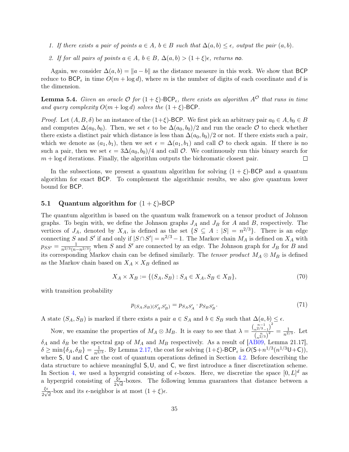- 1. If there exists a pair of points  $a \in A$ ,  $b \in B$  such that  $\Delta(a, b) \leq \epsilon$ , output the pair  $(a, b)$ .
- 2. If for all pairs of points  $a \in A$ ,  $b \in B$ ,  $\Delta(a, b) > (1 + \xi)\epsilon$ , returns no.

Again, we consider  $\Delta(a, b) = ||a - b||$  as the distance measure in this work. We show that BCP reduce to  $BCP_{\epsilon}$  in time  $O(m + \log d)$ , where m is the number of digits of each coordinate and d is the dimension.

<span id="page-35-2"></span>**Lemma 5.4.** Given an oracle  $\mathcal{O}$  for  $(1 + \xi)$ -BCP<sub> $\epsilon$ </sub>, there exists an algorithm  $A^{\mathcal{O}}$  that runs in time and query complexity  $O(m + \log d)$  solves the  $(1 + \xi)$ -BCP.

*Proof.* Let  $(A, B, \delta)$  be an instance of the  $(1+\xi)$ -BCP. We first pick an arbitrary pair  $a_0 \in A, b_0 \in B$ and computes  $\Delta(a_0, b_0)$ . Then, we set  $\epsilon$  to be  $\Delta(a_0, b_0)/2$  and run the oracle  $\mathcal O$  to check whether there exists a distinct pair which distance is less than  $\Delta(a_0, b_0)/2$  or not. If there exists such a pair, which we denote as  $(a_1, b_1)$ , then we set  $\epsilon = \Delta(a_1, b_1)$  and call  $\mathcal O$  to check again. If there is no such a pair, then we set  $\epsilon = 3\Delta(a_0, b_0)/4$  and call  $\mathcal O$ . We continuously run this binary search for  $m + \log d$  iterations. Finally, the algorithm outputs the bichromatic closest pair.  $\Box$ 

In the subsections, we present a quantum algorithm for solving  $(1 + \xi)$ -BCP and a quantum algorithm for exact BCP. To complement the algorithmic results, we also give quantum lower bound for BCP.

### <span id="page-35-0"></span>5.1 Quantum algorithm for  $(1 + \xi)$ -BCP

The quantum algorithm is based on the quantum walk framework on a tensor product of Johnson graphs. To begin with, we define the Johnson graphs  $J_A$  and  $J_B$  for A and B, respectively. The vertices of  $J_A$ , denoted by  $X_A$ , is defined as the set  $\{S \subseteq A : |S| = n^{2/3}\}\$ . There is an edge connecting S and S' if and only if  $|S \cap S'| = n^{2/3} - 1$ . The Markov chain  $M_A$  is defined on  $X_A$  with  $p_{SS'} = \frac{1}{n^{2/3(n-1)}}$  $\frac{1}{n^{2/3}(n-n^{2/3})}$  when S and S' are connected by an edge. The Johnson graph for  $J_B$  for B and its corresponding Markov chain can be defined similarly. The tensor product  $M_A \otimes M_B$  is defined as the Markov chain based on  $X_A \times X_B$  defined as

$$
X_A \times X_B := \{ (S_A, S_B) : S_A \in X_A, S_B \in X_B \},\tag{70}
$$

with transition probability

$$
p_{(S_A, S_B)(S'_A, S'_B)} = p_{S_A S'_A} \cdot p_{S_B S'_B}.\tag{71}
$$

A state  $(S_A, S_B)$  is marked if there exists a pair  $a \in S_A$  and  $b \in S_B$  such that  $\Delta(a, b) \leq \epsilon$ .

<span id="page-35-1"></span>Now, we examine the properties of  $M_A \otimes M_B$ . It is easy to see that  $\lambda = \frac{\binom{n-1}{n^2/3}-1}{\binom{n}{2}}$  $\frac{n^{2/3}-1^{\prime }}{\left( \frac{n}{n^{2/3}}\right) ^{2}}=\frac{1}{n^{2/3}}$  $\frac{1}{n^{2/3}}$ . Let  $\delta_A$  and  $\delta_B$  be the spectral gap of  $M_A$  and  $M_B$  respectively. As a result of [\[AB09,](#page-42-11) Lemma 21.17],  $\delta \geq \min\{\delta_A, \delta_B\} = \frac{1}{n^2}$  $\frac{1}{n^{2/3}}$ . By Lemma [2.17,](#page-9-1) the cost for solving  $(1+\xi)$ -BCP<sub> $\epsilon$ </sub> is  $O(5+n^{1/3}(n^{1/3}U+C)),$ where S, U and C are the cost of quantum operations defined in Section [4.2.](#page-23-0) Before describing the data structure to achieve meaningful S,U, and C, we first introduce a finer discretization scheme. In Section [4,](#page-20-1) we used a hypergrid consisting of  $\epsilon$ -boxes. Here, we discretize the space  $[0, L]^d$  as a hypergrid consisting of  $\frac{\xi \epsilon}{2\sqrt{d}}$ -boxes. The following lemma guarantees that distance between a ξ  $\frac{\xi \epsilon}{2\sqrt{d}}$ -box and its  $\epsilon$ -neighbor is at most  $(1 + \xi)\epsilon$ .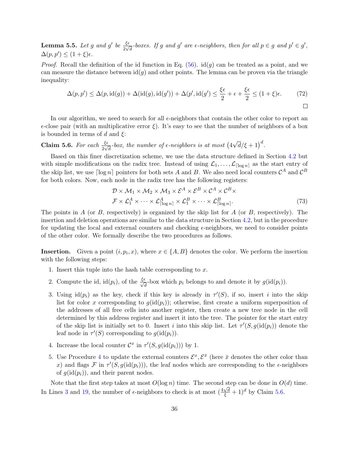**Lemma 5.5.** Let g and g' be  $\frac{\xi \epsilon}{2\sqrt{d}}$ -boxes. If g and g' are  $\epsilon$ -neighbors, then for all  $p \in g$  and  $p' \in g'$ ,  $\Delta(p, p') \leq (1 + \xi)\epsilon.$ 

*Proof.* Recall the definition of the id function in Eq. [\(56\)](#page-21-2).  $id(g)$  can be treated as a point, and we can measure the distance between  $id(g)$  and other points. The lemma can be proven via the triangle inequality:

$$
\Delta(p, p') \le \Delta(p, \text{id}(g)) + \Delta(\text{id}(g), \text{id}(g')) + \Delta(p', \text{id}(g') \le \frac{\xi \epsilon}{2} + \epsilon + \frac{\xi \epsilon}{2} \le (1 + \xi)\epsilon. \tag{72}
$$

In our algorithm, we need to search for all  $\epsilon$ -neighbors that contain the other color to report an  $\epsilon$ -close pair (with an multiplicative error  $\xi$ ). It's easy to see that the number of neighbors of a box is bounded in terms of d and  $\xi$ :

<span id="page-36-0"></span>**Claim 5.6.** For each  $\frac{\xi \epsilon}{2\sqrt{d}}$ -box, the number of  $\epsilon$ -neighbors is at most (4)  $\sqrt{d}/\xi + 1)^d$ .

Based on this finer discretization scheme, we use the data structure defined in Section [4.2](#page-23-0) but with simple modifications on the radix tree. Instead of using  $\mathcal{L}_1, \ldots, \mathcal{L}_{\lceil \log n \rceil}$  as the start entry of the skip list, we use  $\lceil \log n \rceil$  pointers for both sets A and B. We also need local counters  $\mathcal{C}^A$  and  $\mathcal{C}^B$ for both colors. Now, each node in the radix tree has the following registers:

$$
\mathcal{D} \times \mathcal{M}_1 \times \mathcal{M}_2 \times \mathcal{M}_3 \times \mathcal{E}^A \times \mathcal{E}^B \times \mathcal{C}^A \times \mathcal{C}^B \times \n\mathcal{F} \times \mathcal{L}_1^A \times \cdots \times \mathcal{L}_{\lceil \log n \rceil}^A \times \mathcal{L}_1^B \times \cdots \times \mathcal{L}_{\lceil \log n \rceil}^B.
$$
\n(73)

The points in  $A$  (or  $B$ , respectively) is organized by the skip list for  $A$  (or  $B$ , respectively). The insertion and deletion operations are similar to the data structure in Section [4.2,](#page-23-0) but in the procedure for updating the local and external counters and checking  $\epsilon$ -neighbors, we need to consider points of the other color. We formally describe the two procedures as follows.

**Insertion.** Given a point  $(i, p_i, x)$ , where  $x \in \{A, B\}$  denotes the color. We perform the insertion with the following steps:

- 1. Insert this tuple into the hash table corresponding to  $x$ .
- 2. Compute the id, id $(p_i)$ , of the  $\frac{\xi \epsilon}{\sqrt{d}}$ -box which  $p_i$  belongs to and denote it by  $g(\text{id}(p_i))$ .
- 3. Using  $\mathrm{id}(p_i)$  as the key, check if this key is already in  $\tau'(S)$ , if so, insert i into the skip list for color x corresponding to  $q(id(p_i))$ ; otherwise, first create a uniform superposition of the addresses of all free cells into another register, then create a new tree node in the cell determined by this address register and insert it into the tree. The pointer for the start entry of the skip list is initially set to 0. Insert *i* into this skip list. Let  $\tau'(S, g(\text{id}(p_i))$  denote the leaf node in  $\tau'(S)$  corresponding to  $g(\text{id}(p_i))$ .
- 4. Increase the local counter  $\mathcal{C}^x$  in  $\tau'(S, g(\text{id}(p_i)))$  by 1.
- 5. Use Procedure [4](#page-37-0) to update the external counters  $\mathcal{E}^x, \mathcal{E}^{\bar{x}}$  (here  $\bar{x}$  denotes the other color than x) and flags  $\mathcal F$  in  $\tau'(S, g(\text{id}(p_i)))$ , the leaf nodes which are corresponding to the  $\epsilon$ -neighbors of  $g(id(p_i))$ , and their parent nodes.

Note that the first step takes at most  $O(\log n)$  time. The second step can be done in  $O(d)$  time. In Lines [3](#page-37-1) and [19,](#page-37-2) the number of  $\epsilon$ -neighbors to check is at most  $(\frac{4\sqrt{d}}{\xi} + 1)^d$  by Claim [5.6.](#page-36-0)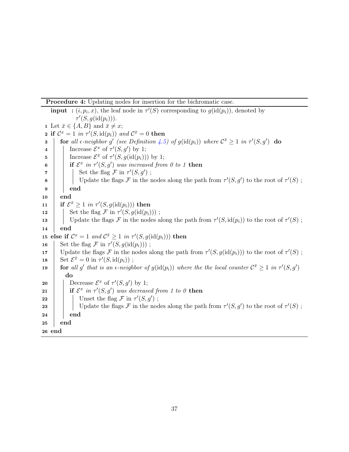Procedure 4: Updating nodes for insertion for the bichromatic case.

<span id="page-37-2"></span><span id="page-37-1"></span><span id="page-37-0"></span>**input** :  $(i, p_i, x)$ , the leaf node in  $\tau'(S)$  corresponding to  $g(\text{id}(p_i))$ , denoted by  $\tau'(S,g(\text{id}(p_i))).$ 1 Let  $\bar{x} \in \{A, B\}$  and  $\bar{x} \neq x$ ; **2** if  $\mathcal{C}^x = 1$  in  $\tau'(S, \text{id}(p_i))$  and  $\mathcal{C}^{\bar{x}} = 0$  then 3 for all  $\epsilon$ -neighbor g' (see Definition [4.5\)](#page-21-1) of  $g(\text{id}(p_i))$  where  $\mathcal{C}^{\bar{x}} \geq 1$  in  $\tau'(S,g')$  do 4 | Increase  $\mathcal{E}^x$  of  $\tau'(S,g')$  by 1; 5 | Increase  $\mathcal{E}^{\bar{x}}$  of  $\tau'(S,g(\text{id}(p_i)))$  by 1; 6 if  $\mathcal{E}^x$  in  $\tau'(S,g')$  was increased from 0 to 1 then  $\tau$  | | Set the flag F in  $\tau'(S,g')$ ; 8 Update the flags F in the nodes along the path from  $\tau'(S,g')$  to the root of  $\tau'(S)$ ;  $9 \mid \cdot \mid$  end 10 end  $\begin{array}{ll} \texttt{11} & \quad \text{if } \mathcal{E}^{\bar{x}} \geq 1 \,\, \textit{in } \tau'(S, g(\text{id}(p_i))) \text{ then} \end{array}$ 12 | Set the flag  $\mathcal F$  in  $\tau'(S, g(\text{id}(p_i)))$ ; 13 Update the flags F in the nodes along the path from  $\tau'(S, id(p_i))$  to the root of  $\tau'(S)$ ; 14 end 15 else if  $\mathcal{C}^x = 1$  and  $\mathcal{C}^{\bar{x}} \geq 1$  in  $\tau'(S, g(\text{id}(p_i)))$  then 16 Set the flag  $\mathcal F$  in  $\tau'(S, g(\text{id}(p_i)))$ ; 17 Update the flags F in the nodes along the path from  $\tau'(S, g(\text{id}(p_i)))$  to the root of  $\tau'(S)$ ; 18 Set  $\mathcal{E}^{\bar{x}} = 0$  in  $\tau'(S, \mathrm{id}(p_i))$ ; 19 **for** all g' that is an  $\epsilon$ -neighbor of  $g(\text{id}(p_i))$  where the the local counter  $\mathcal{C}^{\bar{x}} \geq 1$  in  $\tau'(S,g')$ do 20 Decrease  $\mathcal{E}^x$  of  $\tau'(S,g')$  by 1; 21 if  $\mathcal{E}^x$  in  $\tau'(S,g')$  was decreased from 1 to 0 then 22 | | Unset the flag  $\mathcal F$  in  $\tau'(S,g')$ ; 23 | | Update the flags F in the nodes along the path from  $\tau'(S,g')$  to the root of  $\tau'(S)$ ;  $24$  end 25 end 26 end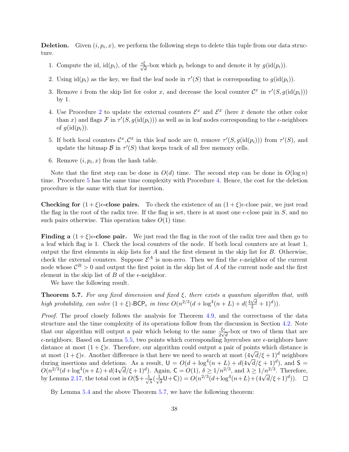**Deletion.** Given  $(i, p_i, x)$ , we perform the following steps to delete this tuple from our data structure.

- 1. Compute the id, id $(p_i)$ , of the  $\frac{\epsilon \xi}{\sqrt{d}}$ -box which  $p_i$  belongs to and denote it by  $g(\text{id}(p_i))$ .
- 2. Using  $\text{id}(p_i)$  as the key, we find the leaf node in  $\tau'(S)$  that is corresponding to  $g(\text{id}(p_i))$ .
- 3. Remove *i* from the skip list for color x, and decrease the local counter  $\mathcal{C}^x$  in  $\tau'(S, g(\text{id}(p_i)))$ by 1.
- 4. Use Procedure [2](#page-28-0) to update the external counters  $\mathcal{E}^x$  and  $\mathcal{E}^{\bar{x}}$  (here  $\bar{x}$  denote the other color than x) and flags  $\mathcal F$  in  $\tau'(S, g(\text{id}(p_i)))$  as well as in leaf nodes corresponding to the  $\epsilon$ -neighbors of  $q(\text{id}(p_i))$ .
- 5. If both local counters  $\mathcal{C}^x$ ,  $\mathcal{C}^{\bar{x}}$  in this leaf node are 0, remove  $\tau'(S, g(\text{id}(p_i)))$  from  $\tau'(S)$ , and update the bitmap  $\mathcal B$  in  $\tau'(S)$  that keeps track of all free memory cells.
- 6. Remove  $(i, p_i, x)$  from the hash table.

Note that the first step can be done in  $O(d)$  time. The second step can be done in  $O(\log n)$ time. Procedure [5](#page-39-0) has the same time complexity with Procedure [4.](#page-37-0) Hence, the cost for the deletion procedure is the same with that for insertion.

Checking for  $(1+\xi)\epsilon$ -close pairs. To check the existence of an  $(1+\xi)\epsilon$ -close pair, we just read the flag in the root of the radix tree. If the flag is set, there is at most one  $\epsilon$ -close pair in S, and no such pairs otherwise. This operation takes  $O(1)$  time.

**Finding a**  $(1+\xi)\epsilon$ -close pair. We just read the flag in the root of the radix tree and then go to a leaf which flag is 1. Check the local counters of the node. If both local counters are at least 1, output the first elements in skip lists for  $A$  and the first element in the skip list for  $B$ . Otherwise, check the external counters. Suppose  $\mathcal{E}^A$  is non-zero. Then we find the  $\epsilon$ -neighbor of the current node whose  $\mathcal{C}^B > 0$  and output the first point in the skip list of A of the current node and the first element in the skip list of  $B$  of the  $\epsilon$ -neighbor.

We have the following result.

<span id="page-38-1"></span>**Theorem 5.7.** For any fixed dimension and fixed  $\xi$ , there exists a quantum algorithm that, with **high probability, can solve**  $(1 + \xi)$ **-BCP**<sub> $\epsilon$ </sub> in time  $O(n^{2/3}(d + \log^4(n + L) + d(\frac{4\sqrt{d}}{\xi} + 1)^d))$ .

Proof. The proof closely follows the analysis for Theorem [4.9,](#page-30-0) and the correctness of the data structure and the time complexity of its operations follow from the discussion in Section [4.2.](#page-23-0) Note that our algorithm will output a pair which belong to the same  $\frac{\xi \epsilon}{2\sqrt{d}}$ -box or two of them that are  $\epsilon$ -neighbors. Based on Lemma [5.5,](#page-35-1) two points which corresponding hyercubes are  $\epsilon$ -neighbors have distance at most  $(1 + \xi)\epsilon$ . Therefore, our algorithm could output a pair of points which distance is at most  $(1 + \xi)$ . Another difference is that here we need to search at most  $(4\sqrt{d}/\xi + 1)^d$  neighbors at most  $(1 + \xi)$ . at most  $(1 + \xi)\epsilon$ . Another difference is that here we need to search at most  $(4\sqrt{a}/\xi + 1)^2$  heighbors during insertions and deletions. As a result,  $U = O(d + \log^4(n + L) + d(4\sqrt{d}/\xi + 1)^d)$ , and  $S =$ during insertions and defections. As a result,  $0 = O(a + \log^2(n + L) + a(4\sqrt{a}/\xi + 1)^2)$ , and  $S = O(n^{2/3}(d + \log^4(n + L) + d(4\sqrt{d}/\xi + 1)^d)$ . Again,  $C = O(1)$ ,  $\delta \ge 1/n^{2/3}$ , and  $\lambda \ge 1/n^{2/3}$ . Therefore, by Lemma [2.17,](#page-9-1) the total cost is  $O(5+\frac{1}{\sqrt{2}})$  $\frac{1}{\overline{\lambda}}(\frac{1}{\sqrt{\overline{\lambda}}}$ gain, **c** = *O*(1),  $\delta \ge 1/n^{2/3}$ , and  $\lambda \ge 1/n^{2/3}$ . There:<br>  $\overline{\delta}(U+C)$ ) =  $O(n^{2/3}(d+\log^4(n+L)+(4\sqrt{d}/\xi+1)^d)).$ 

<span id="page-38-0"></span>By Lemma [5.4](#page-35-2) and the above Theorem [5.7,](#page-38-1) we have the following theorem: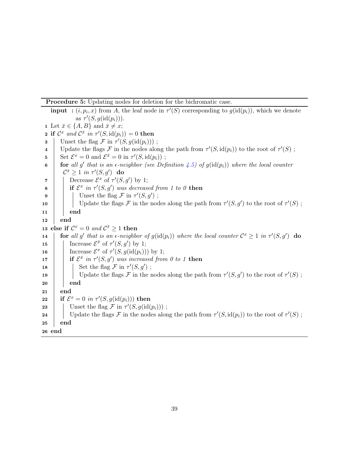Procedure 5: Updating nodes for deletion for the bichromatic case.

<span id="page-39-0"></span>**input** :  $(i, p_i, x)$  from A, the leaf node in  $\tau'(S)$  corresponding to  $g(\text{id}(p_i))$ , which we denote as  $\tau'(S, g(\text{id}(p_i)))$ . 1 Let  $\bar{x} \in \{A, B\}$  and  $\bar{x} \neq x$ ; **2** if  $\mathcal{C}^x$  and  $\mathcal{C}^{\bar{x}}$  in  $\tau'(S, \text{id}(p_i)) = 0$  then **3** Unset the flag  $\mathcal{F}$  in  $\tau'(S, g(\text{id}(p_i)))$ ; 4 Update the flags F in the nodes along the path from  $\tau'(S, id(p_i))$  to the root of  $\tau'(S)$ ; 5 Set  $\mathcal{E}^x = 0$  and  $\mathcal{E}^{\bar{x}} = 0$  in  $\tau'(S, \text{id}(p_i))$ ; 6 for all g' that is an  $\epsilon$ -neighbor (see Definition [4.5\)](#page-21-1) of  $g(\text{id}(p_i))$  where the local counter  $\mathcal{C}^{\bar{x}} \geq 1$  in  $\tau'(S,g')$  do 7 | Decrease  $\mathcal{E}^x$  of  $\tau'(S,g')$  by 1; 8 if  $\mathcal{E}^x$  in  $\tau'(S,g')$  was decreased from 1 to 0 then 9 | | Unset the flag  $\mathcal F$  in  $\tau'(S,g')$ ; 10 | Update the flags F in the nodes along the path from  $\tau'(S,g')$  to the root of  $\tau'(S)$ ;  $11$  end  $12$  end 13 else if  $\mathcal{C}^x = 0$  and  $\mathcal{C}^{\bar{x}} \ge 1$  then 14 **for** all g' that is an  $\epsilon$ -neighbor of  $g(\text{id}(p_i))$  where the local counter  $\mathcal{C}^x \geq 1$  in  $\tau'(S,g')$  do 15 | Increase  $\mathcal{E}^{\bar{x}}$  of  $\tau'(S,g')$  by 1; 16 | Increase  $\mathcal{E}^x$  of  $\tau'(S,g(\text{id}(p_i)))$  by 1; 17 **if**  $\mathcal{E}^{\bar{x}}$  in  $\tau'(S,g')$  was increased from 0 to 1 then 18 | | Set the flag  $\mathcal F$  in  $\tau'(S,g')$ ; 19 | Update the flags F in the nodes along the path from  $\tau'(S,g')$  to the root of  $\tau'(S)$ ;  $20$  end  $21$  end  $\begin{array}{ll} \textbf{22} & \quad \textbf{if} \,\,\mathcal{E}^x = 0 \,\, \textit{in} \,\, \tau'(S,g(\text{id}(p_i))) \,\, \textbf{then} \end{array}$ **23** Unset the flag  $\mathcal{F}$  in  $\tau'(S, g(\text{id}(p_i)))$ ; 24 Update the flags F in the nodes along the path from  $\tau'(S, id(p_i))$  to the root of  $\tau'(S)$ ; 25 end 26 end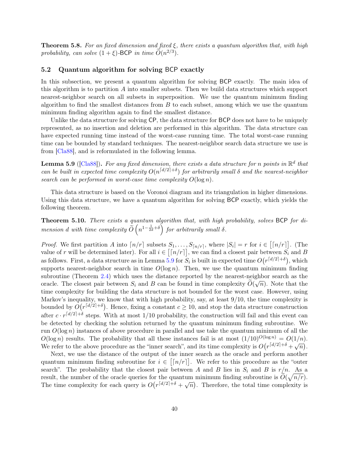**Theorem 5.8.** For an fixed dimension and fixed  $\xi$ , there exists a quantum algorithm that, with high probability, can solve  $(1+\xi)$ -BCP in time  $\widetilde{O}(n^{2/3})$ .

### <span id="page-40-1"></span>5.2 Quantum algorithm for solving BCP exactly

In this subsection, we present a quantum algorithm for solving BCP exactly. The main idea of this algorithm is to partition A into smaller subsets. Then we build data structures which support nearest-neighbor search on all subsets in superposition. We use the quantum minimum finding algorithm to find the smallest distances from  $B$  to each subset, among which we use the quantum minimum finding algorithm again to find the smallest distance.

Unlike the data structure for solving CP, the data structure for BCP does not have to be uniquely represented, as no insertion and deletion are performed in this algorithm. The data structure can have expected running time instead of the worst-case running time. The total worst-case running time can be bounded by standard techniques. The nearest-neighbor search data structure we use is from [\[Cla88\]](#page-43-10), and is reformulated in the following lemma.

<span id="page-40-2"></span>**Lemma 5.9** ([\[Cla88\]](#page-43-10)). For any fixed dimension, there exists a data structure for n points in  $\mathbb{R}^d$  that can be built in expected time complexity  $O(n^{\lceil d/2 \rceil + \delta})$  for arbitrarily small  $\delta$  and the nearest-neighbor search can be performed in worst-case time complexity  $O(\log n)$ .

This data structure is based on the Voronoi diagram and its triangulation in higher dimensions. Using this data structure, we have a quantum algorithm for solving BCP exactly, which yields the following theorem.

<span id="page-40-0"></span>Theorem 5.10. There exists a quantum algorithm that, with high probability, solves BCP for dimension d with time complexity  $\widetilde{O}\left(n^{1-\frac{1}{2d}+\delta}\right)$  for arbitrarily small  $\delta$ .

*Proof.* We first partition A into  $\lceil n/r \rceil$  subsets  $S_1, \ldots, S_{\lceil n/r \rceil}$ , where  $|S_i| = r$  for  $i \in [\lceil n/r \rceil]$ . (The value of r will be determined later). For all  $i \in \lceil \lceil n/r \rceil$ , we can find a closest pair between  $S_i$  and B as follows. First, a data structure as in Lemma [5.9](#page-40-2) for  $S_i$  is built in expected time  $O(r^{\lceil d/2 \rceil + \delta})$ , which supports nearest-neighbor search in time  $O(\log n)$ . Then, we use the quantum minimum finding subroutine (Theorem [2.4\)](#page-6-2) which uses the distance reported by the nearest-neighbor search as the oracle. The closest pair between  $S_i$  and B can be found in time complexity  $O(\sqrt{n})$ . Note that the time complexity for building the data structure is not bounded for the worst case. However, using Markov's inequality, we know that with high probability, say, at least 9/10, the time complexity is bounded by  $O(r^{\lceil d/2 \rceil + \delta})$ . Hence, fixing a constant  $c \ge 10$ , and stop the data structure construction after  $c \cdot r^{\lceil d/2 \rceil + \delta}$  steps. With at most 1/10 probability, the construction will fail and this event can be detected by checking the solution returned by the quantum minimum finding subroutine. We run  $O(\log n)$  instances of above procedure in parallel and use take the quantum minimum of all the  $O(\log n)$  results. The probability that all these instances fail is at most  $(1/10)^{O(\log n)} = O(1/n)$ . We refer to the above procedure as the "inner search", and its time complexity is  $O(r^{\lceil d/2 \rceil + \delta} + \sqrt{n}).$ 

Next, we use the distance of the output of the inner search as the oracle and perform another quantum minimum finding subroutine for  $i \in [n/r]$ . We refer to this procedure as the "outer search". The probability that the closest pair between A and B lies in  $S_i$  and B is  $r/n$ . As a result, the number of the oracle queries for the quantum minimum finding subroutine is  $\widetilde{O}(\sqrt{n/r})$ . The time complexity for each query is  $O(r^{\lceil d/2 \rceil + \delta} + \sqrt{n})$ . Therefore, the total time complexity is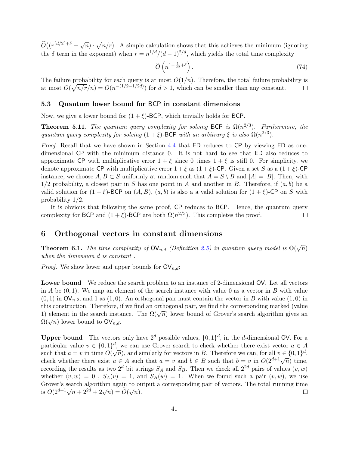$\widetilde{O}((r^{[d/2]+\delta} + \sqrt{n}) \cdot \sqrt{n/r})$ . A simple calculation shows that this achieves the minimum (ignoring the  $\delta$  term in the exponent) when  $r = n^{1/d}/(d-1)^{2/d}$ , which yields the total time complexity

$$
\widetilde{O}\left(n^{1-\frac{1}{2d}+\delta}\right). \tag{74}
$$

The failure probability for each query is at most  $O(1/n)$ . Therefore, the total failure probability is at most  $O(\sqrt{n/r}/n) = O(n^{-(1/2-1/2d)})$  for  $d > 1$ , which can be smaller than any constant.  $\Box$ 

### 5.3 Quantum lower bound for BCP in constant dimensions

Now, we give a lower bound for  $(1 + \xi)$ -BCP, which trivially holds for BCP.

<span id="page-41-1"></span>**Theorem 5.11.** The quantum query complexity for solving BCP is  $\Omega(n^{2/3})$ . Furthermore, the quantum query complexity for solving  $(1 + \xi)$ -BCP with an arbitrary  $\xi$  is also  $\Omega(n^{2/3})$ .

Proof. Recall that we have shown in Section [4.4](#page-34-2) that ED reduces to CP by viewing ED as onedimensional CP with the minimum distance 0. It is not hard to see that ED also reduces to approximate CP with multiplicative error  $1 + \xi$  since 0 times  $1 + \xi$  is still 0. For simplicity, we denote approximate CP with multiplicative error  $1 + \xi$  as  $(1 + \xi)$ -CP. Given a set S as a  $(1 + \xi)$ -CP instance, we choose  $A, B \subset S$  uniformly at random such that  $A = S \setminus B$  and  $|A| = |B|$ . Then, with  $1/2$  probability, a closest pair in S has one point in A and another in B. Therefore, if  $(a, b)$  be a valid solution for  $(1 + \xi)$ -BCP on  $(A, B)$ ,  $(a, b)$  is also a a valid solution for  $(1 + \xi)$ -CP on S with probability 1/2.

It is obvious that following the same proof, CP reduces to BCP. Hence, the quantum query complexity for BCP and  $(1 + \xi)$ -BCP are both  $\Omega(n^{2/3})$ . This completes the proof.  $\Box$ 

### 6 Orthogonal vectors in constant dimensions

<span id="page-41-0"></span>**Theorem 6.1.** The time complexity of  $\mathsf{OV}_{n,d}$  (Definition [2.5\)](#page-7-2) in quantum query model is  $\Theta(\sqrt{n})$ when the dimension d is constant .

*Proof.* We show lower and upper bounds for  $\mathsf{OV}_{n,d}$ :

Lower bound We reduce the search problem to an instance of 2-dimensional OV. Let all vectors in A be  $(0, 1)$ . We map an element of the search instance with value 0 as a vector in B with value  $(0, 1)$  in  $\mathsf{OV}_{n,2}$ , and 1 as  $(1, 0)$ . An orthogonal pair must contain the vector in B with value  $(1, 0)$  in this construction. Therefore, if we find an orthogonal pair, we find the corresponding marked (value 1) element in the search instance. The  $\Omega(\sqrt{n})$  lower bound of Grover's search algorithm gives an  $\Omega(\sqrt{n})$  lower bound to  $\mathsf{OV}_{n,d}$ .

**Upper bound** The vectors only have  $2^d$  possible values,  $\{0, 1\}^d$ , in the *d*-dimensional OV. For a particular value  $v \in \{0,1\}^d$ , we can use Grover search to check whether there exist vector  $a \in A$ such that  $a = v$  in time  $O(\sqrt{n})$ , and similarly for vectors in B. Therefore we can, for all  $v \in \{0,1\}^d$ , check whether there exist  $a \in A$  such that  $a = v$  and  $b \in B$  such that  $b = v$  in  $O(2^{d+1}\sqrt{n})$  time, recording the results as two  $2^d$  bit strings  $S_A$  and  $S_B$ . Then we check all  $2^{2d}$  pairs of values  $(v, w)$ whether  $\langle v, w \rangle = 0$ ,  $S_A(v) = 1$ , and  $S_B(w) = 1$ . When we found such a pair  $(v, w)$ , we use Grover's search algorithm again to output a corresponding pair of vectors. The total running time is  $O(2^{d+1}\sqrt{n}+2^{2d}+2\sqrt{n}) = \widetilde{O}(\sqrt{n}).$  $\Box$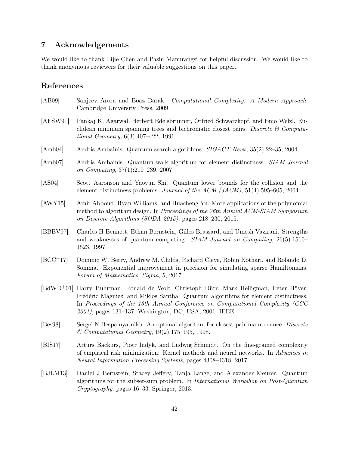# 7 Acknowledgements

We would like to thank Lijie Chen and Pasin Manurangsi for helpful discussion. We would like to thank anonymous reviewers for their valuable suggestions on this paper.

# References

- <span id="page-42-11"></span><span id="page-42-6"></span><span id="page-42-5"></span><span id="page-42-4"></span><span id="page-42-3"></span><span id="page-42-2"></span>[AB09] Sanjeev Arora and Boaz Barak. Computational Complexity: A Modern Approach. Cambridge University Press, 2009. [AESW91] Pankaj K. Agarwal, Herbert Edelsbrunner, Otfried Schwarzkopf, and Emo Welzl. Euclidean minimum spanning trees and bichromatic closest pairs. Discrete  $\mathcal C$  Computational Geometry, 6(3):407–422, 1991. [Amb04] Andris Ambainis. Quantum search algorithms. SIGACT News, 35(2):22–35, 2004. [Amb07] Andris Ambainis. Quantum walk algorithm for element distinctness. SIAM Journal on Computing, 37(1):210–239, 2007. [AS04] Scott Aaronson and Yaoyun Shi. Quantum lower bounds for the collision and the element distinctness problems. Journal of the ACM (JACM),  $51(4):595-605$ ,  $2004$ . [AWY15] Amir Abboud, Ryan Williams, and Huacheng Yu. More applications of the polynomial method to algorithm design. In Proceedings of the 26th Annual ACM-SIAM Symposium on Discrete Algorithms (SODA 2015), pages 218–230, 2015. [BBBV97] Charles H Bennett, Ethan Bernstein, Gilles Brassard, and Umesh Vazirani. Strengths and weaknesses of quantum computing. SIAM Journal on Computing, 26(5):1510– 1523, 1997. [BCC+17] Dominic W. Berry, Andrew M. Childs, Richard Cleve, Robin Kothari, and Rolando D. Somma. Exponential improvement in precision for simulating sparse Hamiltonians. Forum of Mathematics, Sigma, 5, 2017. [BdWD+01] Harry Buhrman, Ronald de Wolf, Christoph Dürr, Mark Heiligman, Peter H"yer, Frédéric Magniez, and Miklos Santha. Quantum algorithms for element distinctness. In Proceedings of the 16th Annual Conference on Computational Complexity (CCC 2001), pages 131–137, Washington, DC, USA, 2001. IEEE. [Bes98] Sergei N Bespamyatnikh. An optimal algorithm for closest-pair maintenance. Discrete
- <span id="page-42-10"></span><span id="page-42-8"></span><span id="page-42-7"></span><span id="page-42-1"></span><span id="page-42-0"></span>& Computational Geometry, 19(2):175–195, 1998. [BIS17] Arturs Backurs, Piotr Indyk, and Ludwig Schmidt. On the fine-grained complexity of empirical risk minimization: Kernel methods and neural networks. In Advances in
- <span id="page-42-9"></span>[BJLM13] Daniel J Bernstein, Stacey Jeffery, Tanja Lange, and Alexander Meurer. Quantum algorithms for the subset-sum problem. In International Workshop on Post-Quantum Cryptography, pages 16–33. Springer, 2013.

Neural Information Processing Systems, pages 4308–4318, 2017.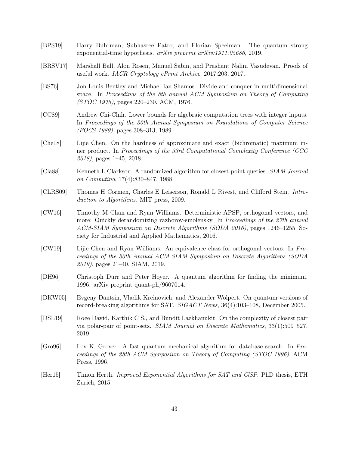- <span id="page-43-6"></span>[BPS19] Harry Buhrman, Subhasree Patro, and Florian Speelman. The quantum strong exponential-time hypothesis. arXiv preprint arXiv:1911.05686, 2019.
- <span id="page-43-7"></span>[BRSV17] Marshall Ball, Alon Rosen, Manuel Sabin, and Prashant Nalini Vasudevan. Proofs of useful work. IACR Cryptology ePrint Archive, 2017:203, 2017.
- <span id="page-43-1"></span>[BS76] Jon Louis Bentley and Michael Ian Shamos. Divide-and-conquer in multidimensional space. In Proceedings of the 8th annual ACM Symposium on Theory of Computing (STOC 1976), pages 220–230. ACM, 1976.
- <span id="page-43-2"></span>[CC89] Andrew Chi-Chih. Lower bounds for algebraic computation trees with integer inputs. In Proceedings of the 30th Annual Symposium on Foundations of Computer Science (FOCS 1989), pages 308–313, 1989.
- <span id="page-43-9"></span>[Che18] Lijie Chen. On the hardness of approximate and exact (bichromatic) maximum inner product. In Proceedings of the 33rd Computational Complexity Conference (CCC 2018), pages 1–45, 2018.
- <span id="page-43-10"></span>[Cla88] Kenneth L Clarkson. A randomized algorithm for closest-point queries. SIAM Journal on Computing, 17(4):830–847, 1988.
- <span id="page-43-0"></span>[CLRS09] Thomas H Cormen, Charles E Leiserson, Ronald L Rivest, and Clifford Stein. Introduction to Algorithms. MIT press, 2009.
- <span id="page-43-8"></span>[CW16] Timothy M Chan and Ryan Williams. Deterministic APSP, orthogonal vectors, and more: Quickly derandomizing razborov-smolensky. In Proceedings of the 27th annual ACM-SIAM Symposium on Discrete Algorithms (SODA 2016), pages 1246–1255. Society for Industrial and Applied Mathematics, 2016.
- <span id="page-43-13"></span>[CW19] Lijie Chen and Ryan Williams. An equivalence class for orthogonal vectors. In Proceedings of the 30th Annual ACM-SIAM Symposium on Discrete Algorithms (SODA 2019), pages 21–40. SIAM, 2019.
- <span id="page-43-12"></span>[DH96] Christoph Durr and Peter Hoyer. A quantum algorithm for finding the minimum, 1996. arXiv preprint quant-ph/9607014.
- <span id="page-43-5"></span>[DKW05] Evgeny Dantsin, Vladik Kreinovich, and Alexander Wolpert. On quantum versions of record-breaking algorithms for SAT. SIGACT News, 36(4):103–108, December 2005.
- <span id="page-43-3"></span>[DSL19] Roee David, Karthik C S., and Bundit Laekhanukit. On the complexity of closest pair via polar-pair of point-sets. SIAM Journal on Discrete Mathematics, 33(1):509–527, 2019.
- <span id="page-43-11"></span>[Gro96] Lov K. Grover. A fast quantum mechanical algorithm for database search. In Proceedings of the 28th ACM Symposium on Theory of Computing (STOC 1996). ACM Press, 1996.
- <span id="page-43-4"></span>[Her15] Timon Hertli. Improved Exponential Algorithms for SAT and ClSP. PhD thesis, ETH Zurich, 2015.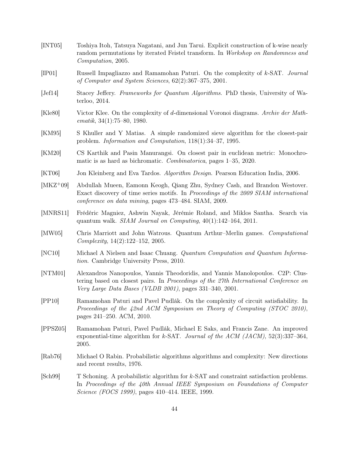- <span id="page-44-15"></span>[INT05] Toshiya Itoh, Tatsuya Nagatani, and Jun Tarui. Explicit construction of k-wise nearly random permutations by iterated Feistel transform. In Workshop on Randomness and Computation, 2005.
- <span id="page-44-6"></span>[IP01] Russell Impagliazzo and Ramamohan Paturi. On the complexity of k-SAT. Journal of Computer and System Sciences, 62(2):367–375, 2001.
- <span id="page-44-13"></span>[Jef14] Stacey Jeffery. Frameworks for Quantum Algorithms. PhD thesis, University of Waterloo, 2014.
- <span id="page-44-11"></span>[Kle80] Victor Klee. On the complexity of d-dimensional Voronoi diagrams. Archiv der Math $ematik, 34(1):75–80, 1980.$
- <span id="page-44-3"></span>[KM95] S Khuller and Y Matias. A simple randomized sieve algorithm for the closest-pair problem. Information and Computation, 118(1):34–37, 1995.
- <span id="page-44-5"></span>[KM20] CS Karthik and Pasin Manurangsi. On closest pair in euclidean metric: Monochromatic is as hard as bichromatic. Combinatorica, pages 1–35, 2020.
- <span id="page-44-0"></span>[KT06] Jon Kleinberg and Eva Tardos. Algorithm Design. Pearson Education India, 2006.
- <span id="page-44-1"></span>[MKZ+09] Abdullah Mueen, Eamonn Keogh, Qiang Zhu, Sydney Cash, and Brandon Westover. Exact discovery of time series motifs. In Proceedings of the 2009 SIAM international conference on data mining, pages 473–484. SIAM, 2009.
- <span id="page-44-7"></span>[MNRS11] Frédéric Magniez, Ashwin Nayak, Jérémie Roland, and Miklos Santha. Search via quantum walk. *SIAM Journal on Computing*,  $40(1):142-164$ ,  $2011$ .
- <span id="page-44-14"></span>[MW05] Chris Marriott and John Watrous. Quantum Arthur–Merlin games. Computational Complexity, 14(2):122–152, 2005.
- <span id="page-44-12"></span>[NC10] Michael A Nielsen and Isaac Chuang. Quantum Computation and Quantum Information. Cambridge University Press, 2010.
- <span id="page-44-2"></span>[NTM01] Alexandros Nanopoulos, Yannis Theodoridis, and Yannis Manolopoulos. C2P: Clustering based on closest pairs. In Proceedings of the 27th International Conference on Very Large Data Bases (VLDB 2001), pages 331–340, 2001.
- <span id="page-44-10"></span>[PP10] Ramamohan Paturi and Pavel Pudlák. On the complexity of circuit satisfiability. In Proceedings of the 42nd ACM Symposium on Theory of Computing (STOC 2010), pages 241–250. ACM, 2010.
- <span id="page-44-9"></span>[PPSZ05] Ramamohan Paturi, Pavel Pudlák, Michael E Saks, and Francis Zane. An improved exponential-time algorithm for k-SAT. Journal of the ACM (JACM),  $52(3):337-364$ , 2005.
- <span id="page-44-4"></span>[Rab76] Michael O Rabin. Probabilistic algorithms algorithms and complexity: New directions and recent results, 1976.
- <span id="page-44-8"></span>[Sch99] T Schoning. A probabilistic algorithm for k-SAT and constraint satisfaction problems. In Proceedings of the 40th Annual IEEE Symposium on Foundations of Computer Science (FOCS 1999), pages 410–414. IEEE, 1999.